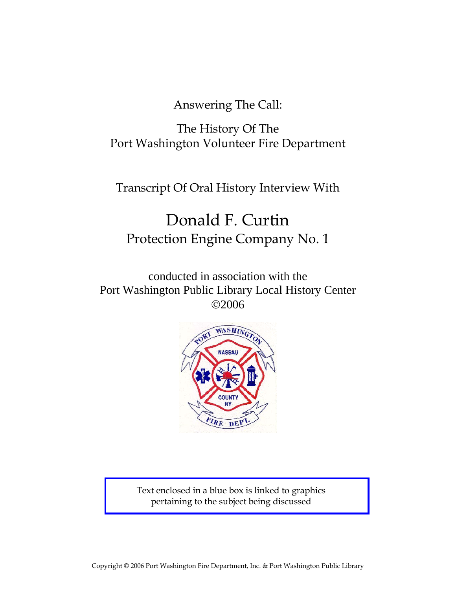Answering The Call:

The History Of The Port Washington Volunteer Fire Department

Transcript Of Oral History Interview With

# Donald F. Curtin Protection Engine Company No. 1

conducted in association with the Port Washington Public Library Local History Center ©2006



Text enclosed in a blue box is linked to graphics pertaining to the subject being discussed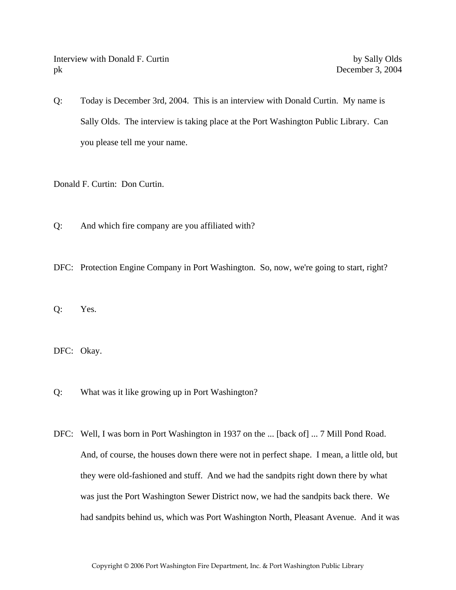Interview with Donald F. Curtin by Sally Olds pk December 3, 2004

Q: Today is December 3rd, 2004. This is an interview with Donald Curtin. My name is Sally Olds. The interview is taking place at the Port Washington Public Library. Can you please tell me your name.

Donald F. Curtin: Don Curtin.

Q: And which fire company are you affiliated with?

DFC: Protection Engine Company in Port Washington. So, now, we're going to start, right?

Q: Yes.

DFC: Okay.

Q: What was it like growing up in Port Washington?

DFC: Well, I was born in Port Washington in 1937 on the ... [back of] ... 7 Mill Pond Road. And, of course, the houses down there were not in perfect shape. I mean, a little old, but they were old-fashioned and stuff. And we had the sandpits right down there by what was just the Port Washington Sewer District now, we had the sandpits back there. We had sandpits behind us, which was Port Washington North, Pleasant Avenue. And it was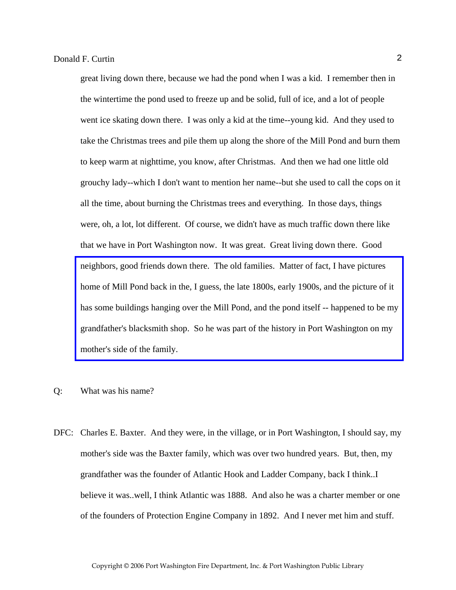great living down there, because we had the pond when I was a kid. I remember then in the wintertime the pond used to freeze up and be solid, full of ice, and a lot of people went ice skating down there. I was only a kid at the time--young kid. And they used to take the Christmas trees and pile them up along the shore of the Mill Pond and burn them to keep warm at nighttime, you know, after Christmas. And then we had one little old grouchy lady--which I don't want to mention her name--but she used to call the cops on it all the time, about burning the Christmas trees and everything. In those days, things were, oh, a lot, lot different. Of course, we didn't have as much traffic down there like that we have in Port Washington now. It was great. Great living down there. Good neighbors, good friends down there. The old families. Matter of fact, I have pictures home of Mill Pond back in the, I guess, the late 1800s, early 1900s, and the picture of it [has some buildings hanging over the Mill Pond, and the pond itself -- happened to be my](http://www.pwfdhistory.com/trans/curtind_trans/oldportpic158_web.jpg)  grandfather's blacksmith shop. So he was part of the history in Port Washington on my mother's side of the family.

- Q: What was his name?
- DFC: Charles E. Baxter. And they were, in the village, or in Port Washington, I should say, my mother's side was the Baxter family, which was over two hundred years. But, then, my grandfather was the founder of Atlantic Hook and Ladder Company, back I think..I believe it was..well, I think Atlantic was 1888. And also he was a charter member or one of the founders of Protection Engine Company in 1892. And I never met him and stuff.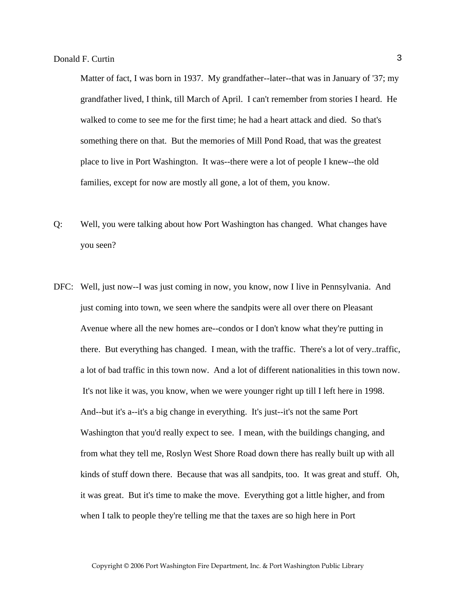Matter of fact, I was born in 1937. My grandfather--later--that was in January of '37; my grandfather lived, I think, till March of April. I can't remember from stories I heard. He walked to come to see me for the first time; he had a heart attack and died. So that's something there on that. But the memories of Mill Pond Road, that was the greatest place to live in Port Washington. It was--there were a lot of people I knew--the old families, except for now are mostly all gone, a lot of them, you know.

- Q: Well, you were talking about how Port Washington has changed. What changes have you seen?
- DFC: Well, just now--I was just coming in now, you know, now I live in Pennsylvania. And just coming into town, we seen where the sandpits were all over there on Pleasant Avenue where all the new homes are--condos or I don't know what they're putting in there. But everything has changed. I mean, with the traffic. There's a lot of very..traffic, a lot of bad traffic in this town now. And a lot of different nationalities in this town now. It's not like it was, you know, when we were younger right up till I left here in 1998. And--but it's a--it's a big change in everything. It's just--it's not the same Port Washington that you'd really expect to see. I mean, with the buildings changing, and from what they tell me, Roslyn West Shore Road down there has really built up with all kinds of stuff down there. Because that was all sandpits, too. It was great and stuff. Oh, it was great. But it's time to make the move. Everything got a little higher, and from when I talk to people they're telling me that the taxes are so high here in Port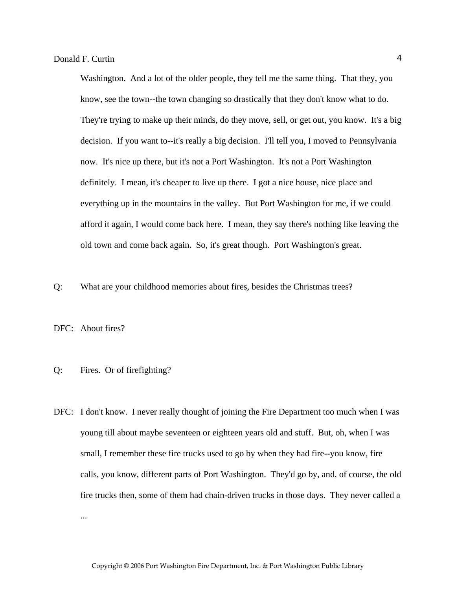Washington. And a lot of the older people, they tell me the same thing. That they, you know, see the town--the town changing so drastically that they don't know what to do. They're trying to make up their minds, do they move, sell, or get out, you know. It's a big decision. If you want to--it's really a big decision. I'll tell you, I moved to Pennsylvania now. It's nice up there, but it's not a Port Washington. It's not a Port Washington definitely. I mean, it's cheaper to live up there. I got a nice house, nice place and everything up in the mountains in the valley. But Port Washington for me, if we could afford it again, I would come back here. I mean, they say there's nothing like leaving the old town and come back again. So, it's great though. Port Washington's great.

Q: What are your childhood memories about fires, besides the Christmas trees?

DFC: About fires?

#### Q: Fires. Or of firefighting?

DFC: I don't know. I never really thought of joining the Fire Department too much when I was young till about maybe seventeen or eighteen years old and stuff. But, oh, when I was small, I remember these fire trucks used to go by when they had fire--you know, fire calls, you know, different parts of Port Washington. They'd go by, and, of course, the old fire trucks then, some of them had chain-driven trucks in those days. They never called a ...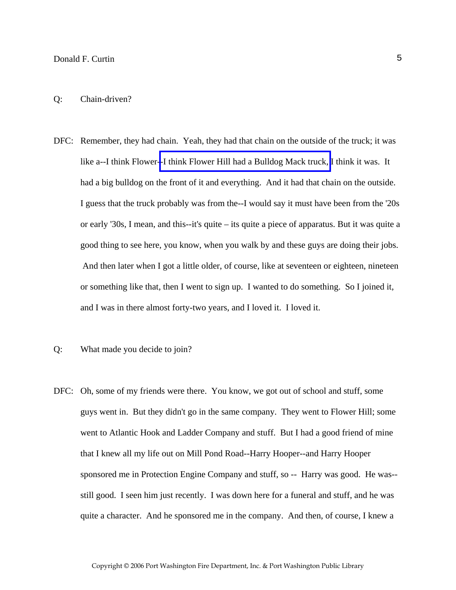#### Q: Chain-driven?

- DFC: Remember, they had chain. Yeah, they had that chain on the outside of the truck; it was like a--I think Flower[--I think Flower Hill had a Bulldog Mack truck,](http://www.pwfdhistory.com/trans/curtind_trans/fhh_truck006.jpg) I think it was. It had a big bulldog on the front of it and everything. And it had that chain on the outside. I guess that the truck probably was from the--I would say it must have been from the '20s or early '30s, I mean, and this--it's quite – its quite a piece of apparatus. But it was quite a good thing to see here, you know, when you walk by and these guys are doing their jobs. And then later when I got a little older, of course, like at seventeen or eighteen, nineteen or something like that, then I went to sign up. I wanted to do something. So I joined it, and I was in there almost forty-two years, and I loved it. I loved it.
- Q: What made you decide to join?
- DFC: Oh, some of my friends were there. You know, we got out of school and stuff, some guys went in. But they didn't go in the same company. They went to Flower Hill; some went to Atlantic Hook and Ladder Company and stuff. But I had a good friend of mine that I knew all my life out on Mill Pond Road--Harry Hooper--and Harry Hooper sponsored me in Protection Engine Company and stuff, so -- Harry was good. He was- still good. I seen him just recently. I was down here for a funeral and stuff, and he was quite a character. And he sponsored me in the company. And then, of course, I knew a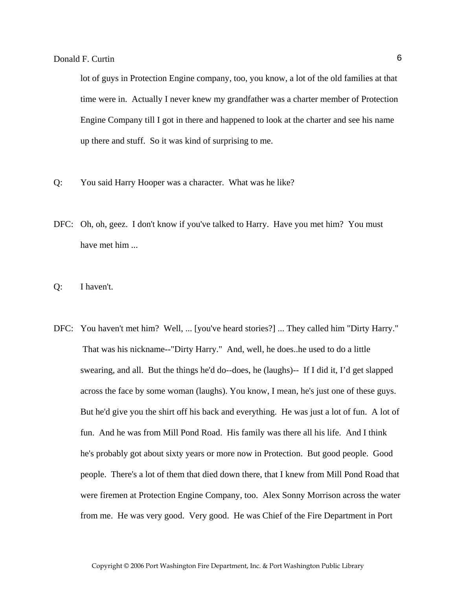lot of guys in Protection Engine company, too, you know, a lot of the old families at that time were in. Actually I never knew my grandfather was a charter member of Protection Engine Company till I got in there and happened to look at the charter and see his name up there and stuff. So it was kind of surprising to me.

- Q: You said Harry Hooper was a character. What was he like?
- DFC: Oh, oh, geez. I don't know if you've talked to Harry. Have you met him? You must have met him ...
- Q: I haven't.
- DFC: You haven't met him? Well, ... [you've heard stories?] ... They called him "Dirty Harry." That was his nickname--"Dirty Harry." And, well, he does..he used to do a little swearing, and all. But the things he'd do--does, he (laughs)-- If I did it, I'd get slapped across the face by some woman (laughs). You know, I mean, he's just one of these guys. But he'd give you the shirt off his back and everything. He was just a lot of fun. A lot of fun. And he was from Mill Pond Road. His family was there all his life. And I think he's probably got about sixty years or more now in Protection. But good people. Good people. There's a lot of them that died down there, that I knew from Mill Pond Road that were firemen at Protection Engine Company, too. Alex Sonny Morrison across the water from me. He was very good. Very good. He was Chief of the Fire Department in Port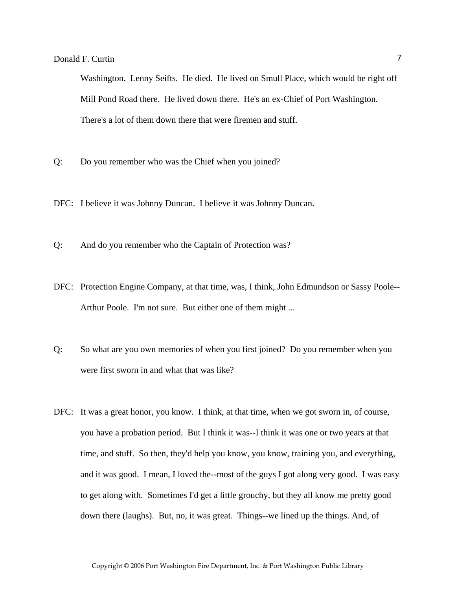Washington. Lenny Seifts. He died. He lived on Smull Place, which would be right off Mill Pond Road there. He lived down there. He's an ex-Chief of Port Washington. There's a lot of them down there that were firemen and stuff.

- Q: Do you remember who was the Chief when you joined?
- DFC: I believe it was Johnny Duncan. I believe it was Johnny Duncan.
- Q: And do you remember who the Captain of Protection was?
- DFC: Protection Engine Company, at that time, was, I think, John Edmundson or Sassy Poole-- Arthur Poole. I'm not sure. But either one of them might ...
- Q: So what are you own memories of when you first joined? Do you remember when you were first sworn in and what that was like?
- DFC: It was a great honor, you know. I think, at that time, when we got sworn in, of course, you have a probation period. But I think it was--I think it was one or two years at that time, and stuff. So then, they'd help you know, you know, training you, and everything, and it was good. I mean, I loved the--most of the guys I got along very good. I was easy to get along with. Sometimes I'd get a little grouchy, but they all know me pretty good down there (laughs). But, no, it was great. Things--we lined up the things. And, of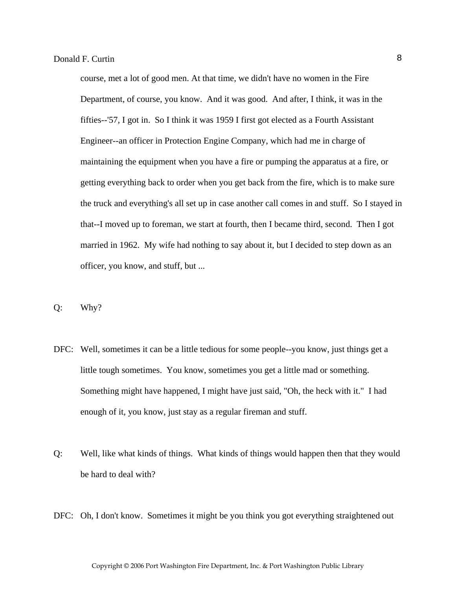course, met a lot of good men. At that time, we didn't have no women in the Fire Department, of course, you know. And it was good. And after, I think, it was in the fifties--'57, I got in. So I think it was 1959 I first got elected as a Fourth Assistant Engineer--an officer in Protection Engine Company, which had me in charge of maintaining the equipment when you have a fire or pumping the apparatus at a fire, or getting everything back to order when you get back from the fire, which is to make sure the truck and everything's all set up in case another call comes in and stuff. So I stayed in that--I moved up to foreman, we start at fourth, then I became third, second. Then I got married in 1962. My wife had nothing to say about it, but I decided to step down as an officer, you know, and stuff, but ...

- Q: Why?
- DFC: Well, sometimes it can be a little tedious for some people--you know, just things get a little tough sometimes. You know, sometimes you get a little mad or something. Something might have happened, I might have just said, "Oh, the heck with it." I had enough of it, you know, just stay as a regular fireman and stuff.
- Q: Well, like what kinds of things. What kinds of things would happen then that they would be hard to deal with?
- DFC: Oh, I don't know. Sometimes it might be you think you got everything straightened out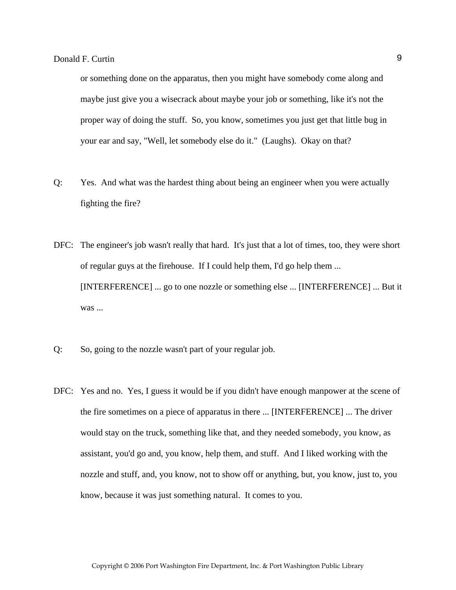or something done on the apparatus, then you might have somebody come along and maybe just give you a wisecrack about maybe your job or something, like it's not the proper way of doing the stuff. So, you know, sometimes you just get that little bug in your ear and say, "Well, let somebody else do it." (Laughs). Okay on that?

- Q: Yes. And what was the hardest thing about being an engineer when you were actually fighting the fire?
- DFC: The engineer's job wasn't really that hard. It's just that a lot of times, too, they were short of regular guys at the firehouse. If I could help them, I'd go help them ... [INTERFERENCE] ... go to one nozzle or something else ... [INTERFERENCE] ... But it was ...
- Q: So, going to the nozzle wasn't part of your regular job.
- DFC: Yes and no. Yes, I guess it would be if you didn't have enough manpower at the scene of the fire sometimes on a piece of apparatus in there ... [INTERFERENCE] ... The driver would stay on the truck, something like that, and they needed somebody, you know, as assistant, you'd go and, you know, help them, and stuff. And I liked working with the nozzle and stuff, and, you know, not to show off or anything, but, you know, just to, you know, because it was just something natural. It comes to you.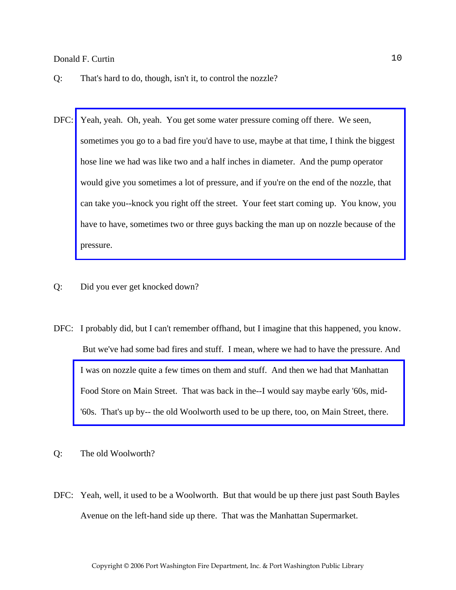- Q: That's hard to do, though, isn't it, to control the nozzle?
- DFC: Yeah, yeah. Oh, yeah. You get some water pressure coming off there. We seen, sometimes you go to a bad fire you'd have to use, maybe at that time, I think the biggest hose line we had was like two and a half inches in diameter. And the pump operator would give you sometimes a lot of pressure, and if you're on the end of the nozzle, that [can take you--knock you right off the street. Your feet start coming up. You know, you](http://www.pwfdhistory.com/trans/curtind_trans/peco_fires026_web.jpg)  have to have, sometimes two or three guys backing the man up on nozzle because of the pressure.
- Q: Did you ever get knocked down?
- DFC: I probably did, but I can't remember offhand, but I imagine that this happened, you know. But we've had some bad fires and stuff. I mean, where we had to have the pressure. And [I was on nozzle quite a few times on them and stuff. And then we had that Manhattan](http://www.pwfdhistory.com/trans/curtind_trans/pwfd_news046_web.jpg)  Food Store on Main Street. That was back in the--I would say maybe early '60s, mid- '60s. That's up by-- the old Woolworth used to be up there, too, on Main Street, there.
- Q: The old Woolworth?
- DFC: Yeah, well, it used to be a Woolworth. But that would be up there just past South Bayles Avenue on the left-hand side up there. That was the Manhattan Supermarket.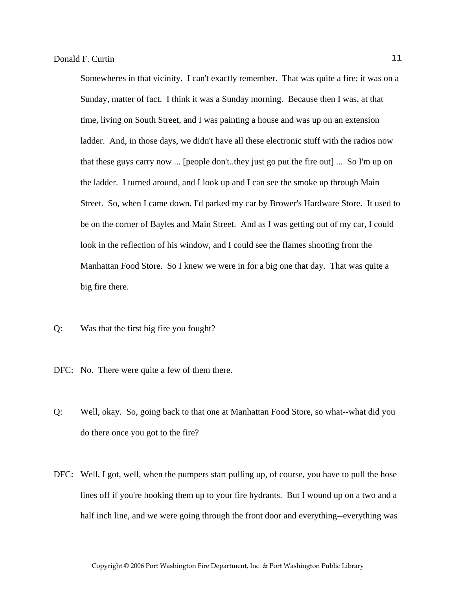Somewheres in that vicinity. I can't exactly remember. That was quite a fire; it was on a Sunday, matter of fact. I think it was a Sunday morning. Because then I was, at that time, living on South Street, and I was painting a house and was up on an extension ladder. And, in those days, we didn't have all these electronic stuff with the radios now that these guys carry now ... [people don't..they just go put the fire out] ... So I'm up on the ladder. I turned around, and I look up and I can see the smoke up through Main Street. So, when I came down, I'd parked my car by Brower's Hardware Store. It used to be on the corner of Bayles and Main Street. And as I was getting out of my car, I could look in the reflection of his window, and I could see the flames shooting from the Manhattan Food Store. So I knew we were in for a big one that day. That was quite a big fire there.

- Q: Was that the first big fire you fought?
- DFC: No. There were quite a few of them there.
- Q: Well, okay. So, going back to that one at Manhattan Food Store, so what--what did you do there once you got to the fire?
- DFC: Well, I got, well, when the pumpers start pulling up, of course, you have to pull the hose lines off if you're hooking them up to your fire hydrants. But I wound up on a two and a half inch line, and we were going through the front door and everything--everything was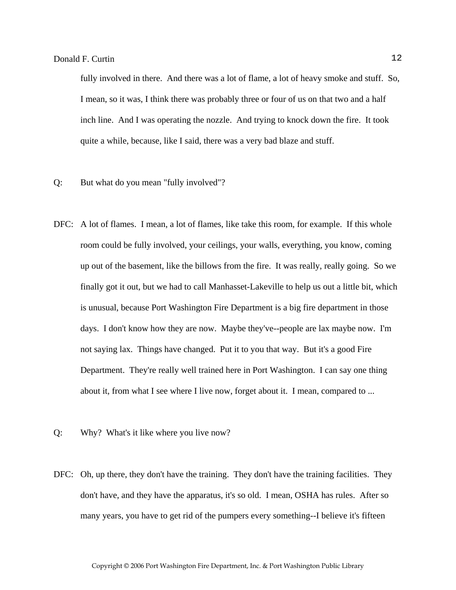fully involved in there. And there was a lot of flame, a lot of heavy smoke and stuff. So, I mean, so it was, I think there was probably three or four of us on that two and a half inch line. And I was operating the nozzle. And trying to knock down the fire. It took quite a while, because, like I said, there was a very bad blaze and stuff.

- Q: But what do you mean "fully involved"?
- DFC: A lot of flames. I mean, a lot of flames, like take this room, for example. If this whole room could be fully involved, your ceilings, your walls, everything, you know, coming up out of the basement, like the billows from the fire. It was really, really going. So we finally got it out, but we had to call Manhasset-Lakeville to help us out a little bit, which is unusual, because Port Washington Fire Department is a big fire department in those days. I don't know how they are now. Maybe they've--people are lax maybe now. I'm not saying lax. Things have changed. Put it to you that way. But it's a good Fire Department. They're really well trained here in Port Washington. I can say one thing about it, from what I see where I live now, forget about it. I mean, compared to ...
- Q: Why? What's it like where you live now?
- DFC: Oh, up there, they don't have the training. They don't have the training facilities. They don't have, and they have the apparatus, it's so old. I mean, OSHA has rules. After so many years, you have to get rid of the pumpers every something--I believe it's fifteen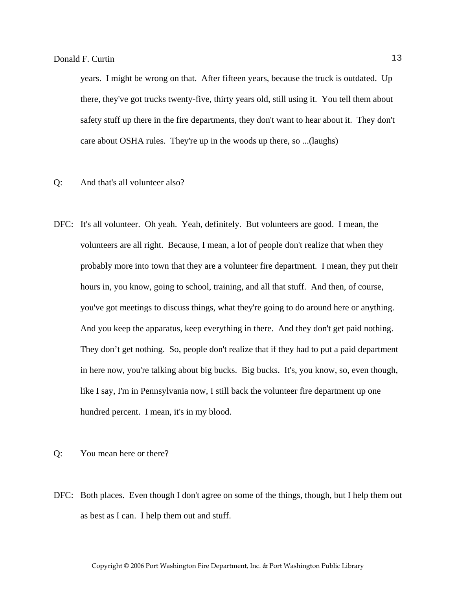years. I might be wrong on that. After fifteen years, because the truck is outdated. Up there, they've got trucks twenty-five, thirty years old, still using it. You tell them about safety stuff up there in the fire departments, they don't want to hear about it. They don't care about OSHA rules. They're up in the woods up there, so ...(laughs)

- Q: And that's all volunteer also?
- DFC: It's all volunteer. Oh yeah. Yeah, definitely. But volunteers are good. I mean, the volunteers are all right. Because, I mean, a lot of people don't realize that when they probably more into town that they are a volunteer fire department. I mean, they put their hours in, you know, going to school, training, and all that stuff. And then, of course, you've got meetings to discuss things, what they're going to do around here or anything. And you keep the apparatus, keep everything in there. And they don't get paid nothing. They don't get nothing. So, people don't realize that if they had to put a paid department in here now, you're talking about big bucks. Big bucks. It's, you know, so, even though, like I say, I'm in Pennsylvania now, I still back the volunteer fire department up one hundred percent. I mean, it's in my blood.
- Q: You mean here or there?
- DFC: Both places. Even though I don't agree on some of the things, though, but I help them out as best as I can. I help them out and stuff.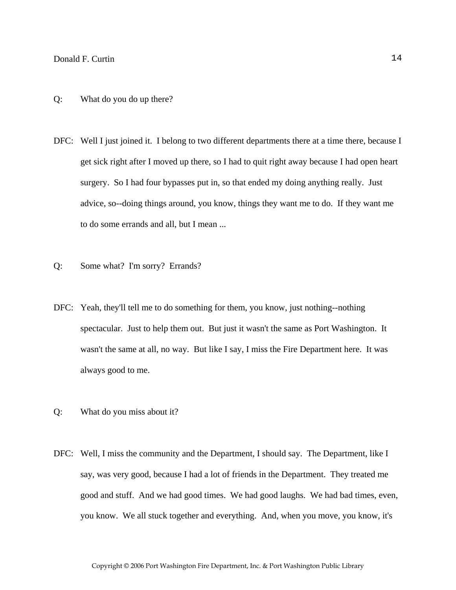- Q: What do you do up there?
- DFC: Well I just joined it. I belong to two different departments there at a time there, because I get sick right after I moved up there, so I had to quit right away because I had open heart surgery. So I had four bypasses put in, so that ended my doing anything really. Just advice, so--doing things around, you know, things they want me to do. If they want me to do some errands and all, but I mean ...
- Q: Some what? I'm sorry? Errands?
- DFC: Yeah, they'll tell me to do something for them, you know, just nothing--nothing spectacular. Just to help them out. But just it wasn't the same as Port Washington. It wasn't the same at all, no way. But like I say, I miss the Fire Department here. It was always good to me.
- Q: What do you miss about it?
- DFC: Well, I miss the community and the Department, I should say. The Department, like I say, was very good, because I had a lot of friends in the Department. They treated me good and stuff. And we had good times. We had good laughs. We had bad times, even, you know. We all stuck together and everything. And, when you move, you know, it's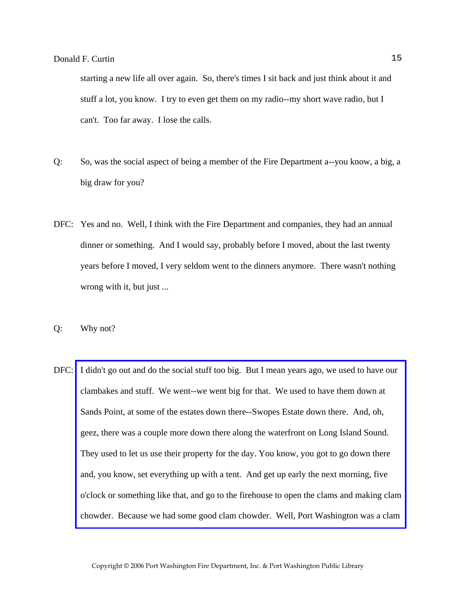starting a new life all over again. So, there's times I sit back and just think about it and stuff a lot, you know. I try to even get them on my radio--my short wave radio, but I can't. Too far away. I lose the calls.

- Q: So, was the social aspect of being a member of the Fire Department a--you know, a big, a big draw for you?
- DFC: Yes and no. Well, I think with the Fire Department and companies, they had an annual dinner or something. And I would say, probably before I moved, about the last twenty years before I moved, I very seldom went to the dinners anymore. There wasn't nothing wrong with it, but just ...
- Q: Why not?
- DFC: I didn't go out and do the social stuff too big. But I mean years ago, we used to have our clambakes and stuff. We went--we went big for that. We used to have them down at Sands Point, at some of the estates down there--Swopes Estate down there. And, oh, geez, there was a couple more down there along the waterfront on Long Island Sound. They used to let us use their property for the day. You know, you got to go down there and, you know, set everything up with a tent. And get up early the next morning, five o'clock or something like that, and go to the firehouse to open the clams and making clam chowder. Because we had some good clam chowder. Well, Port Washington was a clam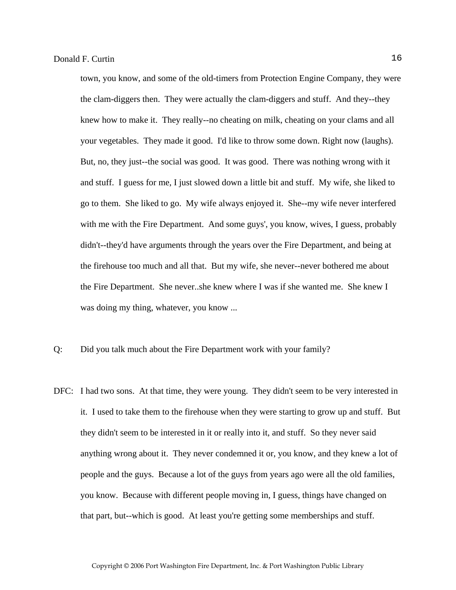town, you know, and some of the old-timers from Protection Engine Company, they were the clam-diggers then. They were actually the clam-diggers and stuff. And they--they knew how to make it. They really--no cheating on milk, cheating on your clams and all your vegetables. They made it good. I'd like to throw some down. Right now (laughs). But, no, they just--the social was good. It was good. There was nothing wrong with it and stuff. I guess for me, I just slowed down a little bit and stuff. My wife, she liked to go to them. She liked to go. My wife always enjoyed it. She--my wife never interfered with me with the Fire Department. And some guys', you know, wives, I guess, probably didn't--they'd have arguments through the years over the Fire Department, and being at the firehouse too much and all that. But my wife, she never--never bothered me about the Fire Department. She never..she knew where I was if she wanted me. She knew I was doing my thing, whatever, you know ...

- Q: Did you talk much about the Fire Department work with your family?
- DFC: I had two sons. At that time, they were young. They didn't seem to be very interested in it. I used to take them to the firehouse when they were starting to grow up and stuff. But they didn't seem to be interested in it or really into it, and stuff. So they never said anything wrong about it. They never condemned it or, you know, and they knew a lot of people and the guys. Because a lot of the guys from years ago were all the old families, you know. Because with different people moving in, I guess, things have changed on that part, but--which is good. At least you're getting some memberships and stuff.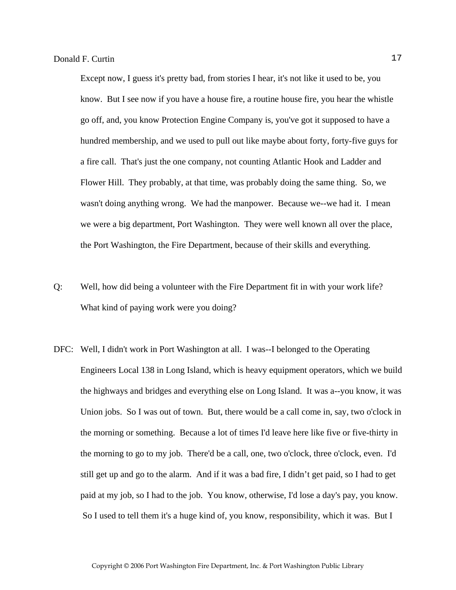Except now, I guess it's pretty bad, from stories I hear, it's not like it used to be, you know. But I see now if you have a house fire, a routine house fire, you hear the whistle go off, and, you know Protection Engine Company is, you've got it supposed to have a hundred membership, and we used to pull out like maybe about forty, forty-five guys for a fire call. That's just the one company, not counting Atlantic Hook and Ladder and Flower Hill. They probably, at that time, was probably doing the same thing. So, we wasn't doing anything wrong. We had the manpower. Because we--we had it. I mean we were a big department, Port Washington. They were well known all over the place, the Port Washington, the Fire Department, because of their skills and everything.

- Q: Well, how did being a volunteer with the Fire Department fit in with your work life? What kind of paying work were you doing?
- DFC: Well, I didn't work in Port Washington at all. I was--I belonged to the Operating Engineers Local 138 in Long Island, which is heavy equipment operators, which we build the highways and bridges and everything else on Long Island. It was a--you know, it was Union jobs. So I was out of town. But, there would be a call come in, say, two o'clock in the morning or something. Because a lot of times I'd leave here like five or five-thirty in the morning to go to my job. There'd be a call, one, two o'clock, three o'clock, even. I'd still get up and go to the alarm. And if it was a bad fire, I didn't get paid, so I had to get paid at my job, so I had to the job. You know, otherwise, I'd lose a day's pay, you know. So I used to tell them it's a huge kind of, you know, responsibility, which it was. But I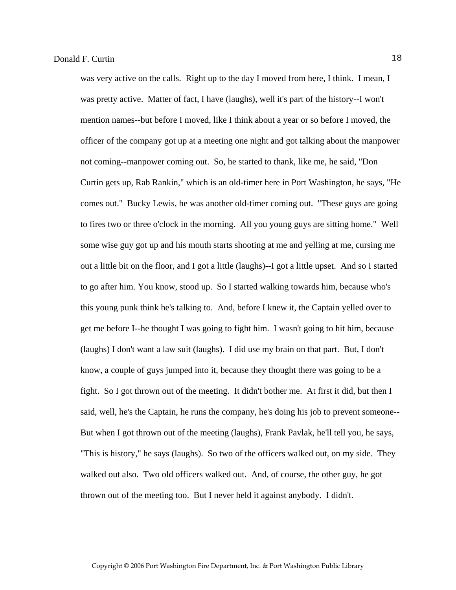was very active on the calls. Right up to the day I moved from here, I think. I mean, I was pretty active. Matter of fact, I have (laughs), well it's part of the history--I won't mention names--but before I moved, like I think about a year or so before I moved, the officer of the company got up at a meeting one night and got talking about the manpower not coming--manpower coming out. So, he started to thank, like me, he said, "Don Curtin gets up, Rab Rankin," which is an old-timer here in Port Washington, he says, "He comes out." Bucky Lewis, he was another old-timer coming out. "These guys are going to fires two or three o'clock in the morning. All you young guys are sitting home." Well some wise guy got up and his mouth starts shooting at me and yelling at me, cursing me out a little bit on the floor, and I got a little (laughs)--I got a little upset. And so I started to go after him. You know, stood up. So I started walking towards him, because who's this young punk think he's talking to. And, before I knew it, the Captain yelled over to get me before I--he thought I was going to fight him. I wasn't going to hit him, because (laughs) I don't want a law suit (laughs). I did use my brain on that part. But, I don't know, a couple of guys jumped into it, because they thought there was going to be a fight. So I got thrown out of the meeting. It didn't bother me. At first it did, but then I said, well, he's the Captain, he runs the company, he's doing his job to prevent someone-- But when I got thrown out of the meeting (laughs), Frank Pavlak, he'll tell you, he says, "This is history," he says (laughs). So two of the officers walked out, on my side. They walked out also. Two old officers walked out. And, of course, the other guy, he got thrown out of the meeting too. But I never held it against anybody. I didn't.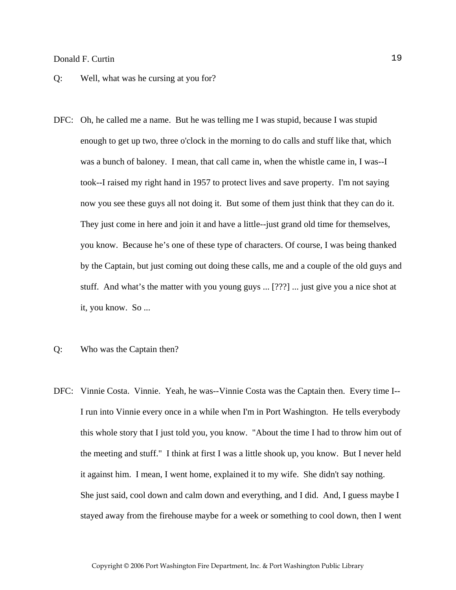- Q: Well, what was he cursing at you for?
- DFC: Oh, he called me a name. But he was telling me I was stupid, because I was stupid enough to get up two, three o'clock in the morning to do calls and stuff like that, which was a bunch of baloney. I mean, that call came in, when the whistle came in, I was--I took--I raised my right hand in 1957 to protect lives and save property. I'm not saying now you see these guys all not doing it. But some of them just think that they can do it. They just come in here and join it and have a little--just grand old time for themselves, you know. Because he's one of these type of characters. Of course, I was being thanked by the Captain, but just coming out doing these calls, me and a couple of the old guys and stuff. And what's the matter with you young guys ... [???] ... just give you a nice shot at it, you know. So ...
- Q: Who was the Captain then?
- DFC: Vinnie Costa. Vinnie. Yeah, he was--Vinnie Costa was the Captain then. Every time I-- I run into Vinnie every once in a while when I'm in Port Washington. He tells everybody this whole story that I just told you, you know. "About the time I had to throw him out of the meeting and stuff." I think at first I was a little shook up, you know. But I never held it against him. I mean, I went home, explained it to my wife. She didn't say nothing. She just said, cool down and calm down and everything, and I did. And, I guess maybe I stayed away from the firehouse maybe for a week or something to cool down, then I went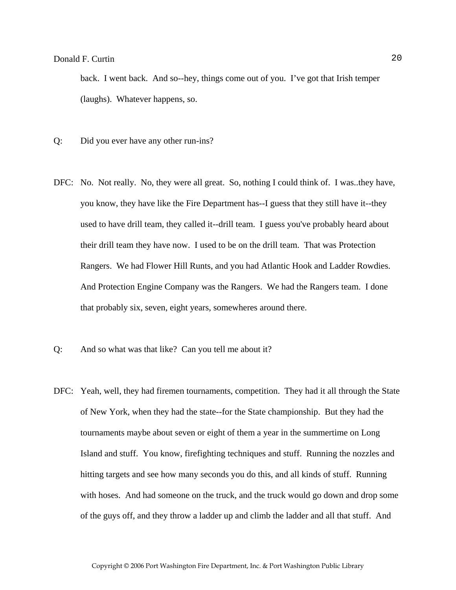back. I went back. And so--hey, things come out of you. I've got that Irish temper (laughs). Whatever happens, so.

- Q: Did you ever have any other run-ins?
- DFC: No. Not really. No, they were all great. So, nothing I could think of. I was..they have, you know, they have like the Fire Department has--I guess that they still have it--they used to have drill team, they called it--drill team. I guess you've probably heard about their drill team they have now. I used to be on the drill team. That was Protection Rangers. We had Flower Hill Runts, and you had Atlantic Hook and Ladder Rowdies. And Protection Engine Company was the Rangers. We had the Rangers team. I done that probably six, seven, eight years, somewheres around there.
- Q: And so what was that like? Can you tell me about it?
- DFC: Yeah, well, they had firemen tournaments, competition. They had it all through the State of New York, when they had the state--for the State championship. But they had the tournaments maybe about seven or eight of them a year in the summertime on Long Island and stuff. You know, firefighting techniques and stuff. Running the nozzles and hitting targets and see how many seconds you do this, and all kinds of stuff. Running with hoses. And had someone on the truck, and the truck would go down and drop some of the guys off, and they throw a ladder up and climb the ladder and all that stuff. And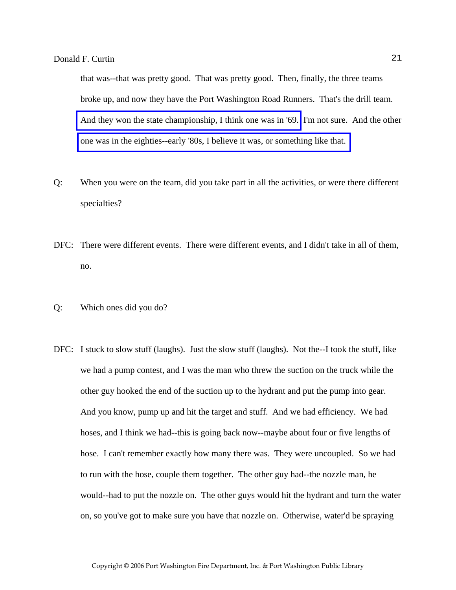that was--that was pretty good. That was pretty good. Then, finally, the three teams broke up, and now they have the Port Washington Road Runners. That's the drill team. [And they won the state championship, I think one was in '69.](http://www.pwfdhistory.com/trans/curtind_trans/pwfd_news047_web.jpg) I'm not sure. And the other [one was in the eighties--early '80s, I believe it was, or something like that.](http://www.pwfdhistory.com/trans/curtind_trans/pwfd_news038_web.jpg) 

- Q: When you were on the team, did you take part in all the activities, or were there different specialties?
- DFC: There were different events. There were different events, and I didn't take in all of them, no.
- Q: Which ones did you do?
- DFC: I stuck to slow stuff (laughs). Just the slow stuff (laughs). Not the--I took the stuff, like we had a pump contest, and I was the man who threw the suction on the truck while the other guy hooked the end of the suction up to the hydrant and put the pump into gear. And you know, pump up and hit the target and stuff. And we had efficiency. We had hoses, and I think we had--this is going back now--maybe about four or five lengths of hose. I can't remember exactly how many there was. They were uncoupled. So we had to run with the hose, couple them together. The other guy had--the nozzle man, he would--had to put the nozzle on. The other guys would hit the hydrant and turn the water on, so you've got to make sure you have that nozzle on. Otherwise, water'd be spraying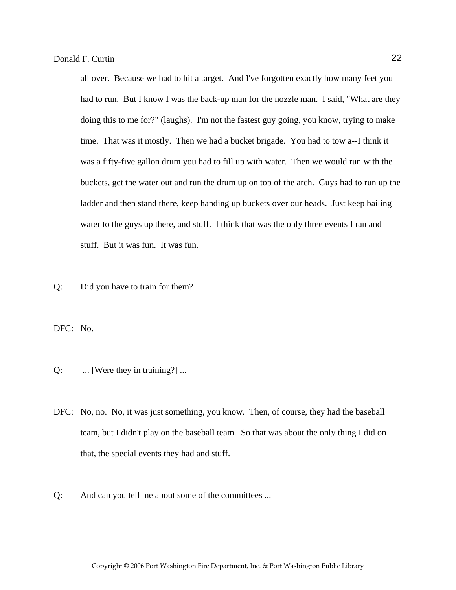all over. Because we had to hit a target. And I've forgotten exactly how many feet you had to run. But I know I was the back-up man for the nozzle man. I said, "What are they doing this to me for?" (laughs). I'm not the fastest guy going, you know, trying to make time. That was it mostly. Then we had a bucket brigade. You had to tow a--I think it was a fifty-five gallon drum you had to fill up with water. Then we would run with the buckets, get the water out and run the drum up on top of the arch. Guys had to run up the ladder and then stand there, keep handing up buckets over our heads. Just keep bailing water to the guys up there, and stuff. I think that was the only three events I ran and stuff. But it was fun. It was fun.

Q: Did you have to train for them?

DFC: No.

- Q: ... [Were they in training?] ...
- DFC: No, no. No, it was just something, you know. Then, of course, they had the baseball team, but I didn't play on the baseball team. So that was about the only thing I did on that, the special events they had and stuff.
- Q: And can you tell me about some of the committees ...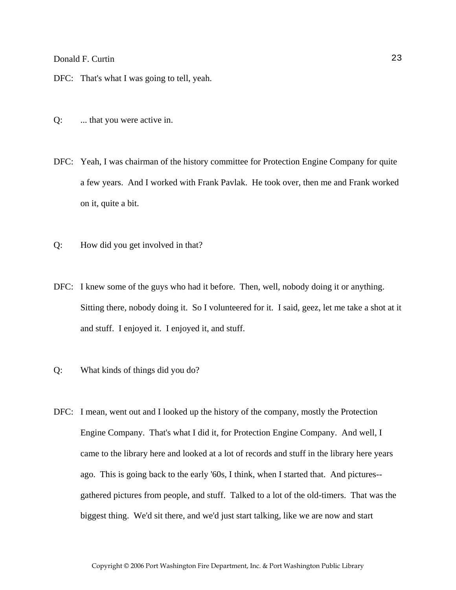- DFC: That's what I was going to tell, yeah.
- Q: ... that you were active in.
- DFC: Yeah, I was chairman of the history committee for Protection Engine Company for quite a few years. And I worked with Frank Pavlak. He took over, then me and Frank worked on it, quite a bit.
- Q: How did you get involved in that?
- DFC: I knew some of the guys who had it before. Then, well, nobody doing it or anything. Sitting there, nobody doing it. So I volunteered for it. I said, geez, let me take a shot at it and stuff. I enjoyed it. I enjoyed it, and stuff.
- Q: What kinds of things did you do?
- DFC: I mean, went out and I looked up the history of the company, mostly the Protection Engine Company. That's what I did it, for Protection Engine Company. And well, I came to the library here and looked at a lot of records and stuff in the library here years ago. This is going back to the early '60s, I think, when I started that. And pictures- gathered pictures from people, and stuff. Talked to a lot of the old-timers. That was the biggest thing. We'd sit there, and we'd just start talking, like we are now and start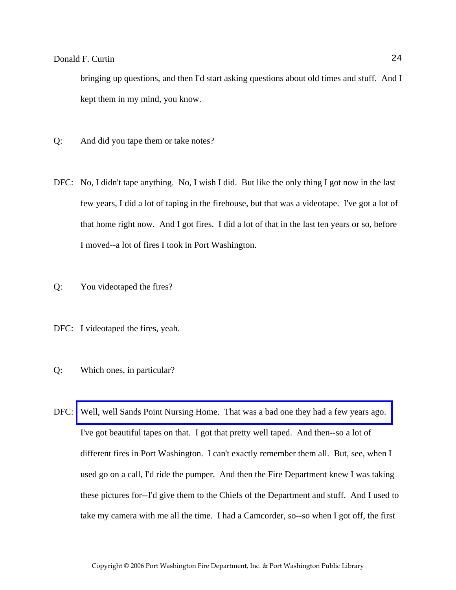bringing up questions, and then I'd start asking questions about old times and stuff. And I kept them in my mind, you know.

- Q: And did you tape them or take notes?
- DFC: No, I didn't tape anything. No, I wish I did. But like the only thing I got now in the last few years, I did a lot of taping in the firehouse, but that was a videotape. I've got a lot of that home right now. And I got fires. I did a lot of that in the last ten years or so, before I moved--a lot of fires I took in Port Washington.
- Q: You videotaped the fires?
- DFC: I videotaped the fires, yeah.
- Q: Which ones, in particular?
- DFC: [Well, well Sands Point Nursing Home. That was a bad one they had a few years ago.](http://www.pwfdhistory.com/trans/curtind_trans/pwfd_news045.pdf)  I've got beautiful tapes on that. I got that pretty well taped. And then--so a lot of different fires in Port Washington. I can't exactly remember them all. But, see, when I used go on a call, I'd ride the pumper. And then the Fire Department knew I was taking these pictures for--I'd give them to the Chiefs of the Department and stuff. And I used to take my camera with me all the time. I had a Camcorder, so--so when I got off, the first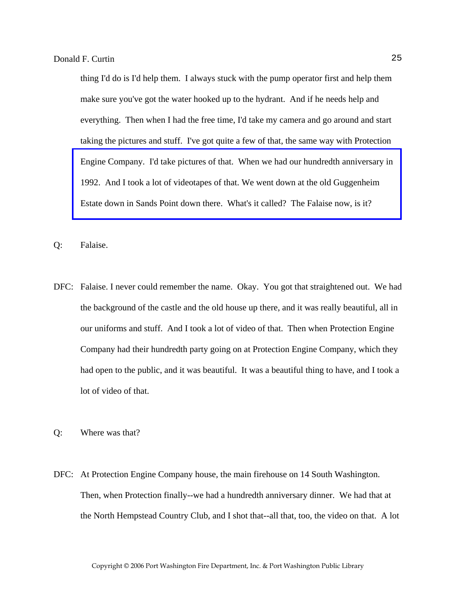thing I'd do is I'd help them. I always stuck with the pump operator first and help them make sure you've got the water hooked up to the hydrant. And if he needs help and everything. Then when I had the free time, I'd take my camera and go around and start taking the pictures and stuff. I've got quite a few of that, the same way with Protection [Engine Company. I'd take pictures of that. When we had our hundredth anniversary in](http://www.pwfdhistory.com/trans/curtind_trans/peco_members047_web.jpg)  1992. And I took a lot of videotapes of that. We went down at the old Guggenheim Estate down in Sands Point down there. What's it called? The Falaise now, is it?

- Q: Falaise.
- DFC: Falaise. I never could remember the name. Okay. You got that straightened out. We had the background of the castle and the old house up there, and it was really beautiful, all in our uniforms and stuff. And I took a lot of video of that. Then when Protection Engine Company had their hundredth party going on at Protection Engine Company, which they had open to the public, and it was beautiful. It was a beautiful thing to have, and I took a lot of video of that.
- Q: Where was that?
- DFC: At Protection Engine Company house, the main firehouse on 14 South Washington. Then, when Protection finally--we had a hundredth anniversary dinner. We had that at the North Hempstead Country Club, and I shot that--all that, too, the video on that. A lot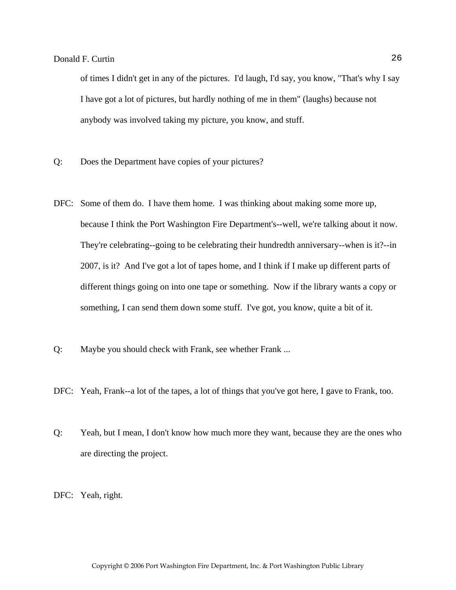of times I didn't get in any of the pictures. I'd laugh, I'd say, you know, "That's why I say I have got a lot of pictures, but hardly nothing of me in them" (laughs) because not anybody was involved taking my picture, you know, and stuff.

- Q: Does the Department have copies of your pictures?
- DFC: Some of them do. I have them home. I was thinking about making some more up, because I think the Port Washington Fire Department's--well, we're talking about it now. They're celebrating--going to be celebrating their hundredth anniversary--when is it?--in 2007, is it? And I've got a lot of tapes home, and I think if I make up different parts of different things going on into one tape or something. Now if the library wants a copy or something, I can send them down some stuff. I've got, you know, quite a bit of it.
- Q: Maybe you should check with Frank, see whether Frank ...
- DFC: Yeah, Frank--a lot of the tapes, a lot of things that you've got here, I gave to Frank, too.
- Q: Yeah, but I mean, I don't know how much more they want, because they are the ones who are directing the project.

DFC: Yeah, right.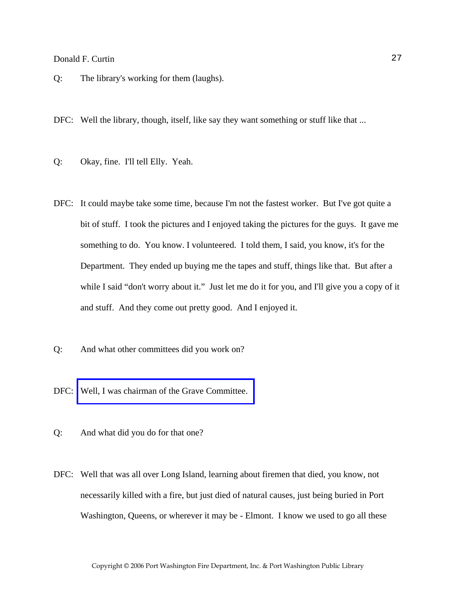- Q: The library's working for them (laughs).
- DFC: Well the library, though, itself, like say they want something or stuff like that ...
- Q: Okay, fine. I'll tell Elly. Yeah.
- DFC: It could maybe take some time, because I'm not the fastest worker. But I've got quite a bit of stuff. I took the pictures and I enjoyed taking the pictures for the guys. It gave me something to do. You know. I volunteered. I told them, I said, you know, it's for the Department. They ended up buying me the tapes and stuff, things like that. But after a while I said "don't worry about it." Just let me do it for you, and I'll give you a copy of it and stuff. And they come out pretty good. And I enjoyed it.
- Q: And what other committees did you work on?
- DFC: Well, I was chairman of the Grave Committee.
- Q: And what did you do for that one?
- DFC: Well that was all over Long Island, learning about firemen that died, you know, not necessarily killed with a fire, but just died of natural causes, just being buried in Port Washington, Queens, or wherever it may be - Elmont. I know we used to go all these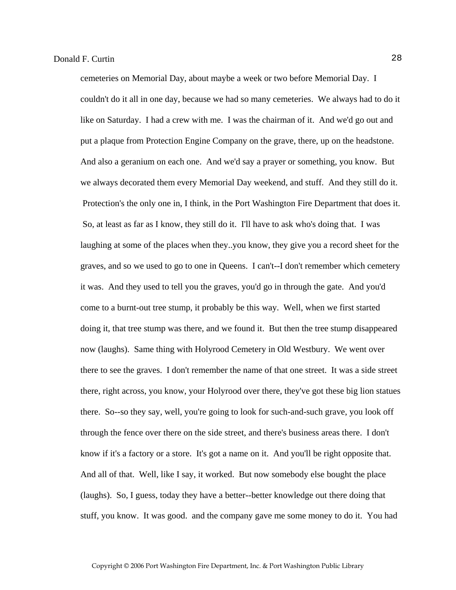cemeteries on Memorial Day, about maybe a week or two before Memorial Day. I couldn't do it all in one day, because we had so many cemeteries. We always had to do it like on Saturday. I had a crew with me. I was the chairman of it. And we'd go out and put a plaque from Protection Engine Company on the grave, there, up on the headstone. And also a geranium on each one. And we'd say a prayer or something, you know. But we always decorated them every Memorial Day weekend, and stuff. And they still do it. Protection's the only one in, I think, in the Port Washington Fire Department that does it. So, at least as far as I know, they still do it. I'll have to ask who's doing that. I was laughing at some of the places when they..you know, they give you a record sheet for the graves, and so we used to go to one in Queens. I can't--I don't remember which cemetery it was. And they used to tell you the graves, you'd go in through the gate. And you'd come to a burnt-out tree stump, it probably be this way. Well, when we first started doing it, that tree stump was there, and we found it. But then the tree stump disappeared now (laughs). Same thing with Holyrood Cemetery in Old Westbury. We went over there to see the graves. I don't remember the name of that one street. It was a side street there, right across, you know, your Holyrood over there, they've got these big lion statues there. So--so they say, well, you're going to look for such-and-such grave, you look off through the fence over there on the side street, and there's business areas there. I don't know if it's a factory or a store. It's got a name on it. And you'll be right opposite that. And all of that. Well, like I say, it worked. But now somebody else bought the place (laughs). So, I guess, today they have a better--better knowledge out there doing that stuff, you know. It was good. and the company gave me some money to do it. You had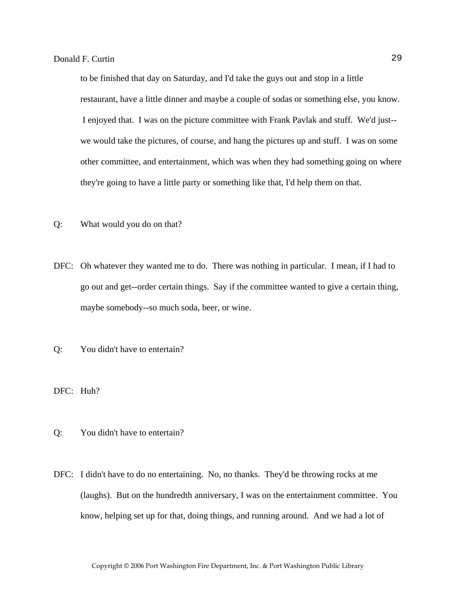to be finished that day on Saturday, and I'd take the guys out and stop in a little restaurant, have a little dinner and maybe a couple of sodas or something else, you know. I enjoyed that. I was on the picture committee with Frank Pavlak and stuff. We'd just- we would take the pictures, of course, and hang the pictures up and stuff. I was on some other committee, and entertainment, which was when they had something going on where they're going to have a little party or something like that, I'd help them on that.

- Q: What would you do on that?
- DFC: Oh whatever they wanted me to do. There was nothing in particular. I mean, if I had to go out and get--order certain things. Say if the committee wanted to give a certain thing, maybe somebody--so much soda, beer, or wine.
- Q: You didn't have to entertain?
- DFC: Huh?
- Q: You didn't have to entertain?
- DFC: I didn't have to do no entertaining. No, no thanks. They'd be throwing rocks at me (laughs). But on the hundredth anniversary, I was on the entertainment committee. You know, helping set up for that, doing things, and running around. And we had a lot of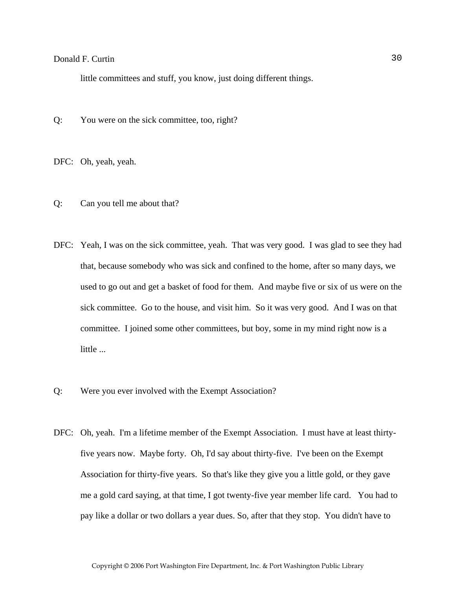little committees and stuff, you know, just doing different things.

Q: You were on the sick committee, too, right?

DFC: Oh, yeah, yeah.

- Q: Can you tell me about that?
- DFC: Yeah, I was on the sick committee, yeah. That was very good. I was glad to see they had that, because somebody who was sick and confined to the home, after so many days, we used to go out and get a basket of food for them. And maybe five or six of us were on the sick committee. Go to the house, and visit him. So it was very good. And I was on that committee. I joined some other committees, but boy, some in my mind right now is a little ...
- Q: Were you ever involved with the Exempt Association?
- DFC: Oh, yeah. I'm a lifetime member of the Exempt Association. I must have at least thirtyfive years now. Maybe forty. Oh, I'd say about thirty-five. I've been on the Exempt Association for thirty-five years. So that's like they give you a little gold, or they gave me a gold card saying, at that time, I got twenty-five year member life card. You had to pay like a dollar or two dollars a year dues. So, after that they stop. You didn't have to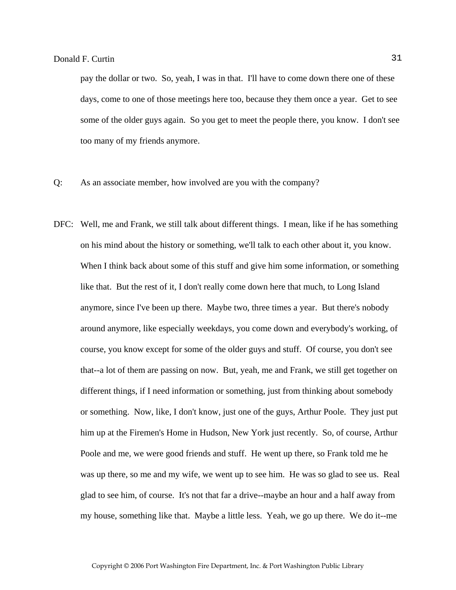pay the dollar or two. So, yeah, I was in that. I'll have to come down there one of these days, come to one of those meetings here too, because they them once a year. Get to see some of the older guys again. So you get to meet the people there, you know. I don't see too many of my friends anymore.

- Q: As an associate member, how involved are you with the company?
- DFC: Well, me and Frank, we still talk about different things. I mean, like if he has something on his mind about the history or something, we'll talk to each other about it, you know. When I think back about some of this stuff and give him some information, or something like that. But the rest of it, I don't really come down here that much, to Long Island anymore, since I've been up there. Maybe two, three times a year. But there's nobody around anymore, like especially weekdays, you come down and everybody's working, of course, you know except for some of the older guys and stuff. Of course, you don't see that--a lot of them are passing on now. But, yeah, me and Frank, we still get together on different things, if I need information or something, just from thinking about somebody or something. Now, like, I don't know, just one of the guys, Arthur Poole. They just put him up at the Firemen's Home in Hudson, New York just recently. So, of course, Arthur Poole and me, we were good friends and stuff. He went up there, so Frank told me he was up there, so me and my wife, we went up to see him. He was so glad to see us. Real glad to see him, of course. It's not that far a drive--maybe an hour and a half away from my house, something like that. Maybe a little less. Yeah, we go up there. We do it--me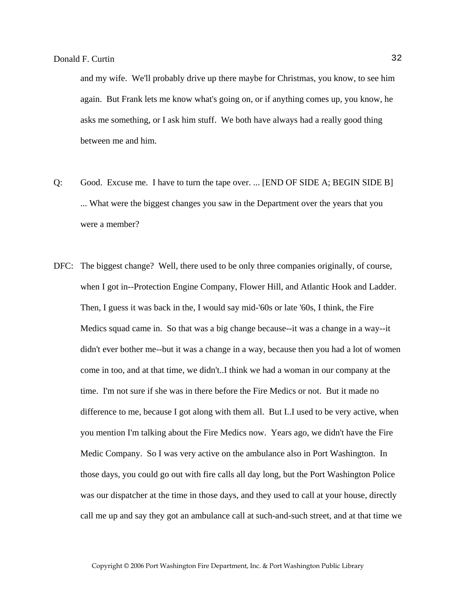and my wife. We'll probably drive up there maybe for Christmas, you know, to see him again. But Frank lets me know what's going on, or if anything comes up, you know, he asks me something, or I ask him stuff. We both have always had a really good thing between me and him.

- Q: Good. Excuse me. I have to turn the tape over. ... [END OF SIDE A; BEGIN SIDE B] ... What were the biggest changes you saw in the Department over the years that you were a member?
- DFC: The biggest change? Well, there used to be only three companies originally, of course, when I got in--Protection Engine Company, Flower Hill, and Atlantic Hook and Ladder. Then, I guess it was back in the, I would say mid-'60s or late '60s, I think, the Fire Medics squad came in. So that was a big change because--it was a change in a way--it didn't ever bother me--but it was a change in a way, because then you had a lot of women come in too, and at that time, we didn't..I think we had a woman in our company at the time. I'm not sure if she was in there before the Fire Medics or not. But it made no difference to me, because I got along with them all. But I..I used to be very active, when you mention I'm talking about the Fire Medics now. Years ago, we didn't have the Fire Medic Company. So I was very active on the ambulance also in Port Washington. In those days, you could go out with fire calls all day long, but the Port Washington Police was our dispatcher at the time in those days, and they used to call at your house, directly call me up and say they got an ambulance call at such-and-such street, and at that time we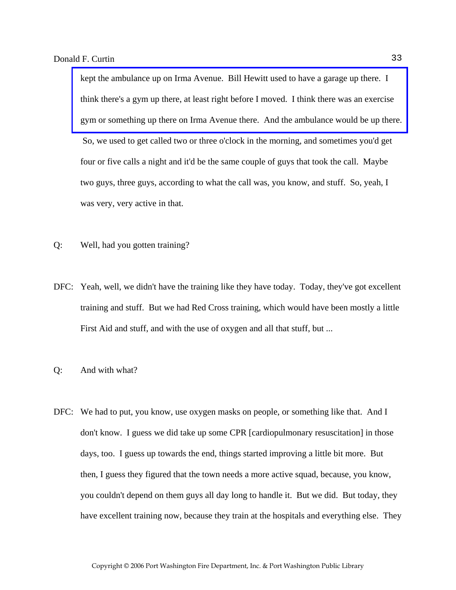kept the ambulance up on Irma Avenue. Bill Hewitt used to have a garage up there. I think there's a gym up there, at least right before I moved. I think there was an exercise [gym or something up there on Irma Avenue there. And the ambulance would be up there.](http://www.pwfdhistory.com/trans/curtind_trans/fmco_vehicles18_web.jpg)  So, we used to get called two or three o'clock in the morning, and sometimes you'd get four or five calls a night and it'd be the same couple of guys that took the call. Maybe two guys, three guys, according to what the call was, you know, and stuff. So, yeah, I was very, very active in that.

- Q: Well, had you gotten training?
- DFC: Yeah, well, we didn't have the training like they have today. Today, they've got excellent training and stuff. But we had Red Cross training, which would have been mostly a little First Aid and stuff, and with the use of oxygen and all that stuff, but ...
- Q: And with what?
- DFC: We had to put, you know, use oxygen masks on people, or something like that. And I don't know. I guess we did take up some CPR [cardiopulmonary resuscitation] in those days, too. I guess up towards the end, things started improving a little bit more. But then, I guess they figured that the town needs a more active squad, because, you know, you couldn't depend on them guys all day long to handle it. But we did. But today, they have excellent training now, because they train at the hospitals and everything else. They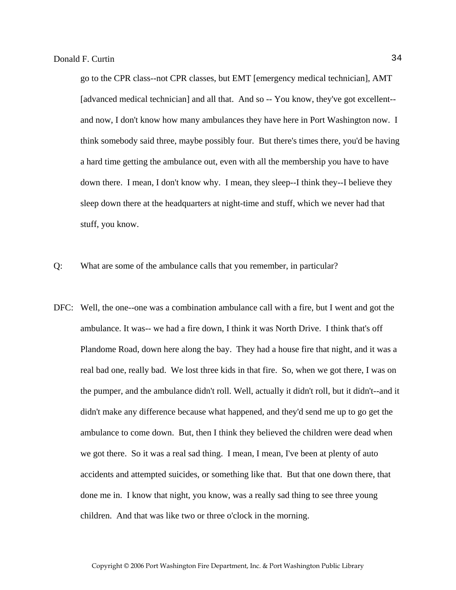go to the CPR class--not CPR classes, but EMT [emergency medical technician], AMT [advanced medical technician] and all that. And so -- You know, they've got excellent- and now, I don't know how many ambulances they have here in Port Washington now. I think somebody said three, maybe possibly four. But there's times there, you'd be having a hard time getting the ambulance out, even with all the membership you have to have down there. I mean, I don't know why. I mean, they sleep--I think they--I believe they sleep down there at the headquarters at night-time and stuff, which we never had that stuff, you know.

Q: What are some of the ambulance calls that you remember, in particular?

DFC: Well, the one--one was a combination ambulance call with a fire, but I went and got the ambulance. It was-- we had a fire down, I think it was North Drive. I think that's off Plandome Road, down here along the bay. They had a house fire that night, and it was a real bad one, really bad. We lost three kids in that fire. So, when we got there, I was on the pumper, and the ambulance didn't roll. Well, actually it didn't roll, but it didn't--and it didn't make any difference because what happened, and they'd send me up to go get the ambulance to come down. But, then I think they believed the children were dead when we got there. So it was a real sad thing. I mean, I mean, I've been at plenty of auto accidents and attempted suicides, or something like that. But that one down there, that done me in. I know that night, you know, was a really sad thing to see three young children. And that was like two or three o'clock in the morning.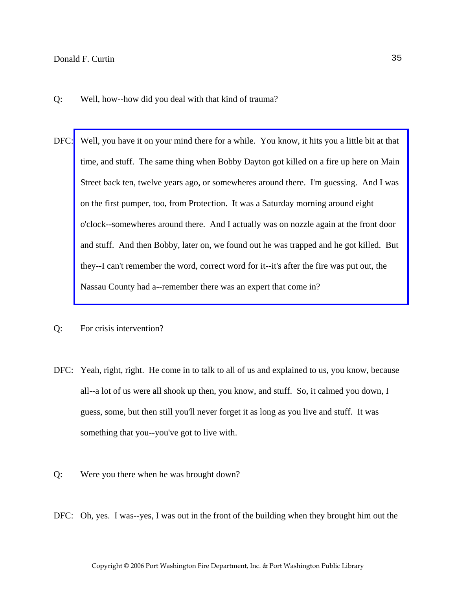- Q: Well, how--how did you deal with that kind of trauma?
- DFC: [Well, you have it on your mind there for a while. You know, it hits you a little bit at that](http://www.pwfdhistory.com/trans/curtind_trans/nday881127_pz.pdf)  time, and stuff. The same thing when Bobby Dayton got killed on a fire up here on Main Street back ten, twelve years ago, or somewheres around there. I'm guessing. And I was on the first pumper, too, from Protection. It was a Saturday morning around eight o'clock--somewheres around there. And I actually was on nozzle again at the front door and stuff. And then Bobby, later on, we found out he was trapped and he got killed. But they--I can't remember the word, correct word for it--it's after the fire was put out, the Nassau County had a--remember there was an expert that come in?
- Q: For crisis intervention?
- DFC: Yeah, right, right. He come in to talk to all of us and explained to us, you know, because all--a lot of us were all shook up then, you know, and stuff. So, it calmed you down, I guess, some, but then still you'll never forget it as long as you live and stuff. It was something that you--you've got to live with.
- Q: Were you there when he was brought down?
- DFC: Oh, yes. I was--yes, I was out in the front of the building when they brought him out the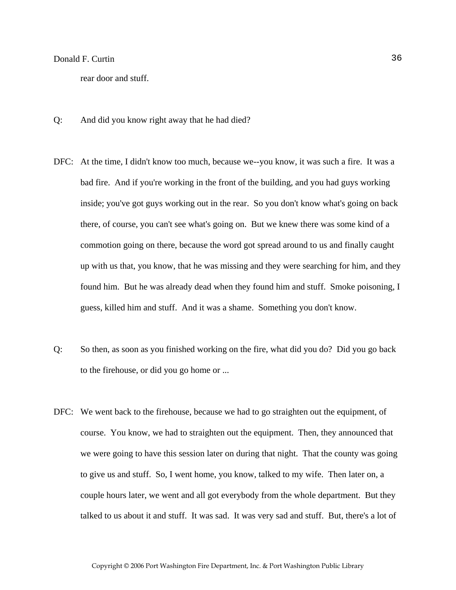rear door and stuff.

- Q: And did you know right away that he had died?
- DFC: At the time, I didn't know too much, because we--you know, it was such a fire. It was a bad fire. And if you're working in the front of the building, and you had guys working inside; you've got guys working out in the rear. So you don't know what's going on back there, of course, you can't see what's going on. But we knew there was some kind of a commotion going on there, because the word got spread around to us and finally caught up with us that, you know, that he was missing and they were searching for him, and they found him. But he was already dead when they found him and stuff. Smoke poisoning, I guess, killed him and stuff. And it was a shame. Something you don't know.
- Q: So then, as soon as you finished working on the fire, what did you do? Did you go back to the firehouse, or did you go home or ...
- DFC: We went back to the firehouse, because we had to go straighten out the equipment, of course. You know, we had to straighten out the equipment. Then, they announced that we were going to have this session later on during that night. That the county was going to give us and stuff. So, I went home, you know, talked to my wife. Then later on, a couple hours later, we went and all got everybody from the whole department. But they talked to us about it and stuff. It was sad. It was very sad and stuff. But, there's a lot of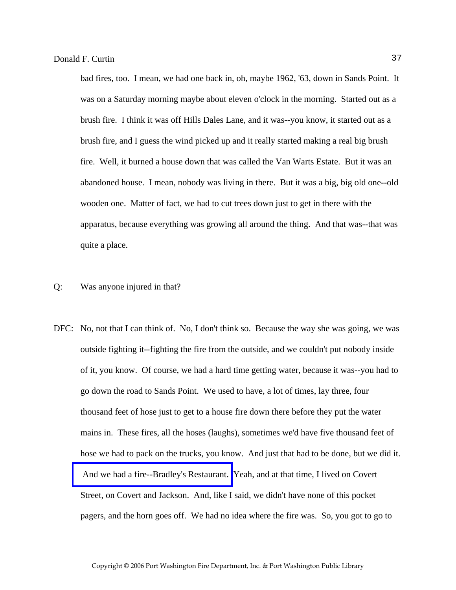bad fires, too. I mean, we had one back in, oh, maybe 1962, '63, down in Sands Point. It was on a Saturday morning maybe about eleven o'clock in the morning. Started out as a brush fire. I think it was off Hills Dales Lane, and it was--you know, it started out as a brush fire, and I guess the wind picked up and it really started making a real big brush fire. Well, it burned a house down that was called the Van Warts Estate. But it was an abandoned house. I mean, nobody was living in there. But it was a big, big old one--old wooden one. Matter of fact, we had to cut trees down just to get in there with the apparatus, because everything was growing all around the thing. And that was--that was quite a place.

#### Q: Was anyone injured in that?

DFC: No, not that I can think of. No, I don't think so. Because the way she was going, we was outside fighting it--fighting the fire from the outside, and we couldn't put nobody inside of it, you know. Of course, we had a hard time getting water, because it was--you had to go down the road to Sands Point. We used to have, a lot of times, lay three, four thousand feet of hose just to get to a house fire down there before they put the water mains in. These fires, all the hoses (laughs), sometimes we'd have five thousand feet of hose we had to pack on the trucks, you know. And just that had to be done, but we did it.  [And we had a fire--Bradley's Restaurant.](http://www.pwfdhistory.com/trans/curtind_trans/peco_fires001.jpg) Yeah, and at that time, I lived on Covert Street, on Covert and Jackson. And, like I said, we didn't have none of this pocket pagers, and the horn goes off. We had no idea where the fire was. So, you got to go to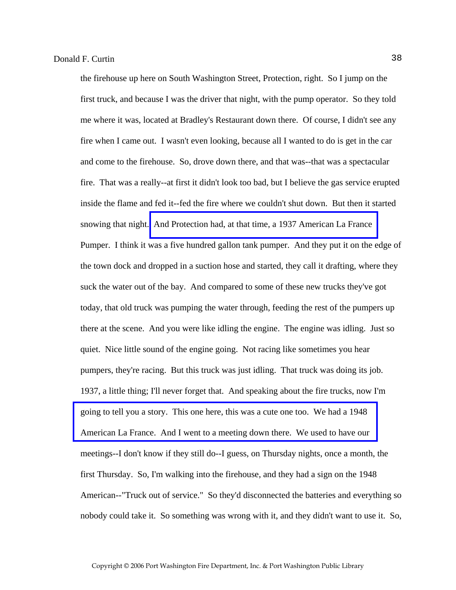the firehouse up here on South Washington Street, Protection, right. So I jump on the first truck, and because I was the driver that night, with the pump operator. So they told me where it was, located at Bradley's Restaurant down there. Of course, I didn't see any fire when I came out. I wasn't even looking, because all I wanted to do is get in the car and come to the firehouse. So, drove down there, and that was--that was a spectacular fire. That was a really--at first it didn't look too bad, but I believe the gas service erupted inside the flame and fed it--fed the fire where we couldn't shut down. But then it started snowing that night. [And Protection had, at that time, a 1937 American La France](http://www.pwfdhistory.com/trans/curtind_trans/peco_trucks022.jpg)  Pumper. I think it was a five hundred gallon tank pumper. And they put it on the edge of the town dock and dropped in a suction hose and started, they call it drafting, where they suck the water out of the bay. And compared to some of these new trucks they've got today, that old truck was pumping the water through, feeding the rest of the pumpers up there at the scene. And you were like idling the engine. The engine was idling. Just so quiet. Nice little sound of the engine going. Not racing like sometimes you hear pumpers, they're racing. But this truck was just idling. That truck was doing its job. 1937, a little thing; I'll never forget that. And speaking about the fire trucks, now I'm going to tell you a story. This one here, this was a cute one too. We had a 1948 [American La France. And I went to a meeting down there. We used to have our](http://www.pwfdhistory.com/trans/curtind_trans/peco_trucks023.jpg)  meetings--I don't know if they still do--I guess, on Thursday nights, once a month, the first Thursday. So, I'm walking into the firehouse, and they had a sign on the 1948 American--"Truck out of service." So they'd disconnected the batteries and everything so nobody could take it. So something was wrong with it, and they didn't want to use it. So,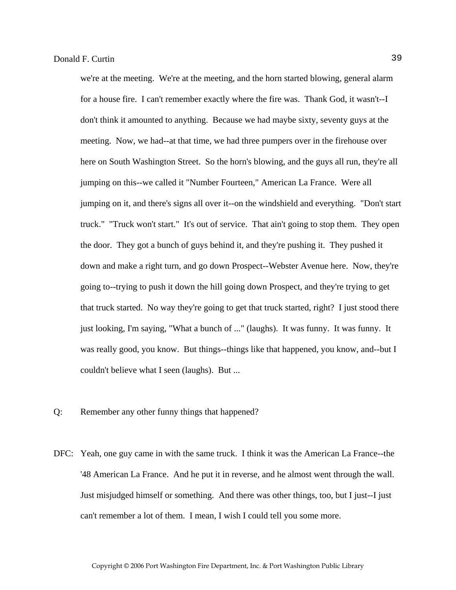we're at the meeting. We're at the meeting, and the horn started blowing, general alarm for a house fire. I can't remember exactly where the fire was. Thank God, it wasn't--I don't think it amounted to anything. Because we had maybe sixty, seventy guys at the meeting. Now, we had--at that time, we had three pumpers over in the firehouse over here on South Washington Street. So the horn's blowing, and the guys all run, they're all jumping on this--we called it "Number Fourteen," American La France. Were all jumping on it, and there's signs all over it--on the windshield and everything. "Don't start truck." "Truck won't start." It's out of service. That ain't going to stop them. They open the door. They got a bunch of guys behind it, and they're pushing it. They pushed it down and make a right turn, and go down Prospect--Webster Avenue here. Now, they're going to--trying to push it down the hill going down Prospect, and they're trying to get that truck started. No way they're going to get that truck started, right? I just stood there just looking, I'm saying, "What a bunch of ..." (laughs). It was funny. It was funny. It was really good, you know. But things--things like that happened, you know, and--but I couldn't believe what I seen (laughs). But ...

- Q: Remember any other funny things that happened?
- DFC: Yeah, one guy came in with the same truck. I think it was the American La France--the '48 American La France. And he put it in reverse, and he almost went through the wall. Just misjudged himself or something. And there was other things, too, but I just--I just can't remember a lot of them. I mean, I wish I could tell you some more.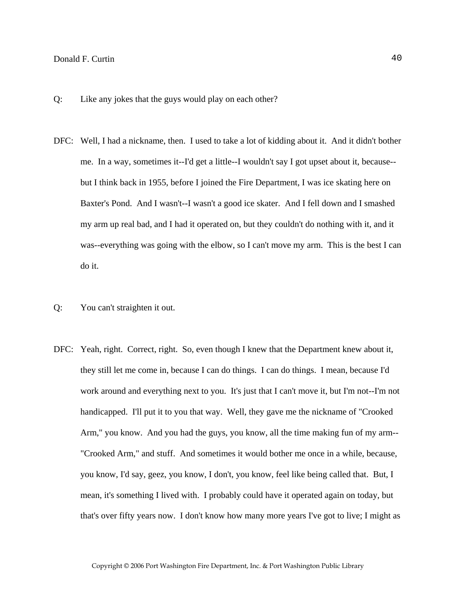- Q: Like any jokes that the guys would play on each other?
- DFC: Well, I had a nickname, then. I used to take a lot of kidding about it. And it didn't bother me. In a way, sometimes it--I'd get a little--I wouldn't say I got upset about it, because- but I think back in 1955, before I joined the Fire Department, I was ice skating here on Baxter's Pond. And I wasn't--I wasn't a good ice skater. And I fell down and I smashed my arm up real bad, and I had it operated on, but they couldn't do nothing with it, and it was--everything was going with the elbow, so I can't move my arm. This is the best I can do it.
- Q: You can't straighten it out.
- DFC: Yeah, right. Correct, right. So, even though I knew that the Department knew about it, they still let me come in, because I can do things. I can do things. I mean, because I'd work around and everything next to you. It's just that I can't move it, but I'm not--I'm not handicapped. I'll put it to you that way. Well, they gave me the nickname of "Crooked Arm," you know. And you had the guys, you know, all the time making fun of my arm-- "Crooked Arm," and stuff. And sometimes it would bother me once in a while, because, you know, I'd say, geez, you know, I don't, you know, feel like being called that. But, I mean, it's something I lived with. I probably could have it operated again on today, but that's over fifty years now. I don't know how many more years I've got to live; I might as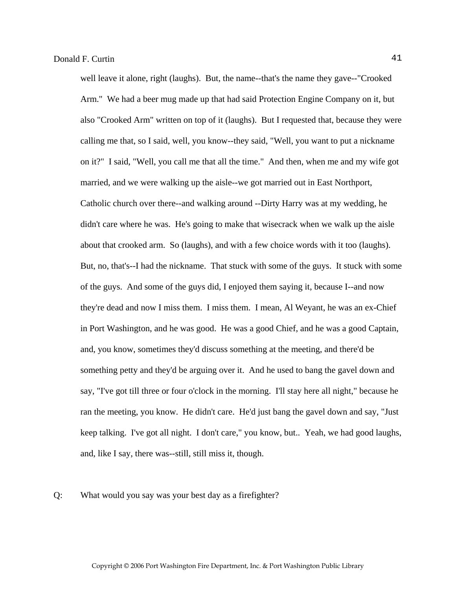well leave it alone, right (laughs). But, the name--that's the name they gave--"Crooked Arm." We had a beer mug made up that had said Protection Engine Company on it, but also "Crooked Arm" written on top of it (laughs). But I requested that, because they were calling me that, so I said, well, you know--they said, "Well, you want to put a nickname on it?" I said, "Well, you call me that all the time." And then, when me and my wife got married, and we were walking up the aisle--we got married out in East Northport, Catholic church over there--and walking around --Dirty Harry was at my wedding, he didn't care where he was. He's going to make that wisecrack when we walk up the aisle about that crooked arm. So (laughs), and with a few choice words with it too (laughs). But, no, that's--I had the nickname. That stuck with some of the guys. It stuck with some of the guys. And some of the guys did, I enjoyed them saying it, because I--and now they're dead and now I miss them. I miss them. I mean, Al Weyant, he was an ex-Chief in Port Washington, and he was good. He was a good Chief, and he was a good Captain, and, you know, sometimes they'd discuss something at the meeting, and there'd be something petty and they'd be arguing over it. And he used to bang the gavel down and say, "I've got till three or four o'clock in the morning. I'll stay here all night," because he ran the meeting, you know. He didn't care. He'd just bang the gavel down and say, "Just keep talking. I've got all night. I don't care," you know, but.. Yeah, we had good laughs, and, like I say, there was--still, still miss it, though.

#### Q: What would you say was your best day as a firefighter?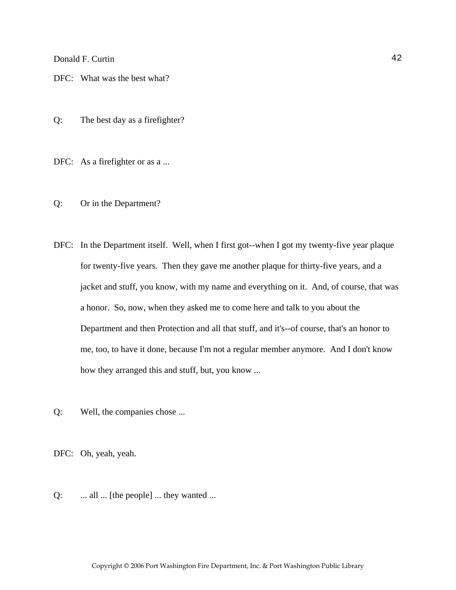DFC: What was the best what?

Q: The best day as a firefighter?

DFC: As a firefighter or as a ...

- Q: Or in the Department?
- DFC: In the Department itself. Well, when I first got--when I got my twenty-five year plaque for twenty-five years. Then they gave me another plaque for thirty-five years, and a jacket and stuff, you know, with my name and everything on it. And, of course, that was a honor. So, now, when they asked me to come here and talk to you about the Department and then Protection and all that stuff, and it's--of course, that's an honor to me, too, to have it done, because I'm not a regular member anymore. And I don't know how they arranged this and stuff, but, you know ...
- Q: Well, the companies chose ...

DFC: Oh, yeah, yeah.

Q: ... all ... [the people] ... they wanted ...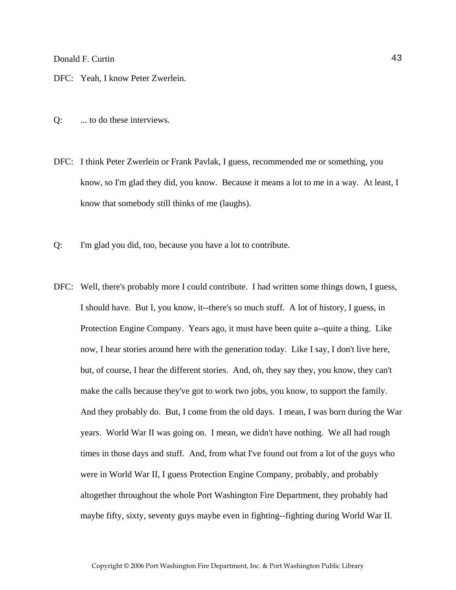DFC: Yeah, I know Peter Zwerlein.

- Q: ... to do these interviews.
- DFC: I think Peter Zwerlein or Frank Pavlak, I guess, recommended me or something, you know, so I'm glad they did, you know. Because it means a lot to me in a way. At least, I know that somebody still thinks of me (laughs).
- Q: I'm glad you did, too, because you have a lot to contribute.
- DFC: Well, there's probably more I could contribute. I had written some things down, I guess, I should have. But I, you know, it--there's so much stuff. A lot of history, I guess, in Protection Engine Company. Years ago, it must have been quite a--quite a thing. Like now, I hear stories around here with the generation today. Like I say, I don't live here, but, of course, I hear the different stories. And, oh, they say they, you know, they can't make the calls because they've got to work two jobs, you know, to support the family. And they probably do. But, I come from the old days. I mean, I was born during the War years. World War II was going on. I mean, we didn't have nothing. We all had rough times in those days and stuff. And, from what I've found out from a lot of the guys who were in World War II, I guess Protection Engine Company, probably, and probably altogether throughout the whole Port Washington Fire Department, they probably had maybe fifty, sixty, seventy guys maybe even in fighting--fighting during World War II.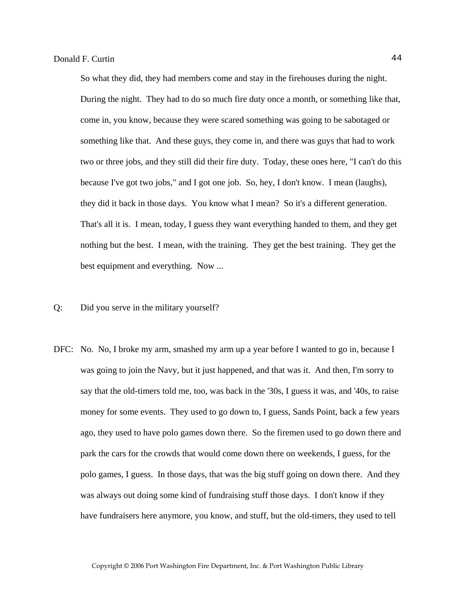So what they did, they had members come and stay in the firehouses during the night. During the night. They had to do so much fire duty once a month, or something like that, come in, you know, because they were scared something was going to be sabotaged or something like that. And these guys, they come in, and there was guys that had to work two or three jobs, and they still did their fire duty. Today, these ones here, "I can't do this because I've got two jobs," and I got one job. So, hey, I don't know. I mean (laughs), they did it back in those days. You know what I mean? So it's a different generation. That's all it is. I mean, today, I guess they want everything handed to them, and they get nothing but the best. I mean, with the training. They get the best training. They get the best equipment and everything. Now ...

- Q: Did you serve in the military yourself?
- DFC: No. No, I broke my arm, smashed my arm up a year before I wanted to go in, because I was going to join the Navy, but it just happened, and that was it. And then, I'm sorry to say that the old-timers told me, too, was back in the '30s, I guess it was, and '40s, to raise money for some events. They used to go down to, I guess, Sands Point, back a few years ago, they used to have polo games down there. So the firemen used to go down there and park the cars for the crowds that would come down there on weekends, I guess, for the polo games, I guess. In those days, that was the big stuff going on down there. And they was always out doing some kind of fundraising stuff those days. I don't know if they have fundraisers here anymore, you know, and stuff, but the old-timers, they used to tell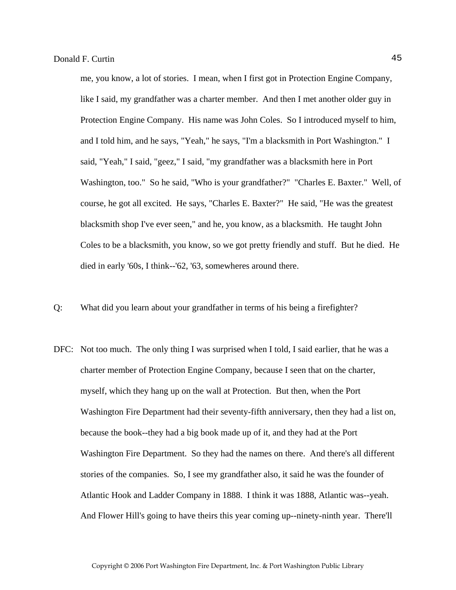me, you know, a lot of stories. I mean, when I first got in Protection Engine Company, like I said, my grandfather was a charter member. And then I met another older guy in Protection Engine Company. His name was John Coles. So I introduced myself to him, and I told him, and he says, "Yeah," he says, "I'm a blacksmith in Port Washington." I said, "Yeah," I said, "geez," I said, "my grandfather was a blacksmith here in Port Washington, too." So he said, "Who is your grandfather?" "Charles E. Baxter." Well, of course, he got all excited. He says, "Charles E. Baxter?" He said, "He was the greatest blacksmith shop I've ever seen," and he, you know, as a blacksmith. He taught John Coles to be a blacksmith, you know, so we got pretty friendly and stuff. But he died. He died in early '60s, I think--'62, '63, somewheres around there.

- Q: What did you learn about your grandfather in terms of his being a firefighter?
- DFC: Not too much. The only thing I was surprised when I told, I said earlier, that he was a charter member of Protection Engine Company, because I seen that on the charter, myself, which they hang up on the wall at Protection. But then, when the Port Washington Fire Department had their seventy-fifth anniversary, then they had a list on, because the book--they had a big book made up of it, and they had at the Port Washington Fire Department. So they had the names on there. And there's all different stories of the companies. So, I see my grandfather also, it said he was the founder of Atlantic Hook and Ladder Company in 1888. I think it was 1888, Atlantic was--yeah. And Flower Hill's going to have theirs this year coming up--ninety-ninth year. There'll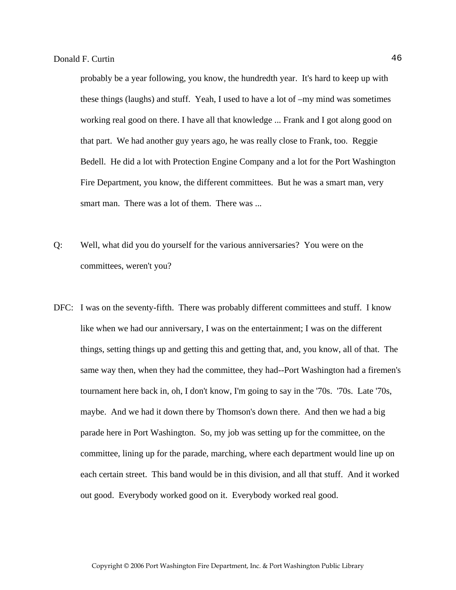probably be a year following, you know, the hundredth year. It's hard to keep up with these things (laughs) and stuff. Yeah, I used to have a lot of –my mind was sometimes working real good on there. I have all that knowledge ... Frank and I got along good on that part. We had another guy years ago, he was really close to Frank, too. Reggie Bedell. He did a lot with Protection Engine Company and a lot for the Port Washington Fire Department, you know, the different committees. But he was a smart man, very smart man. There was a lot of them. There was ...

- Q: Well, what did you do yourself for the various anniversaries? You were on the committees, weren't you?
- DFC: I was on the seventy-fifth. There was probably different committees and stuff. I know like when we had our anniversary, I was on the entertainment; I was on the different things, setting things up and getting this and getting that, and, you know, all of that. The same way then, when they had the committee, they had--Port Washington had a firemen's tournament here back in, oh, I don't know, I'm going to say in the '70s. '70s. Late '70s, maybe. And we had it down there by Thomson's down there. And then we had a big parade here in Port Washington. So, my job was setting up for the committee, on the committee, lining up for the parade, marching, where each department would line up on each certain street. This band would be in this division, and all that stuff. And it worked out good. Everybody worked good on it. Everybody worked real good.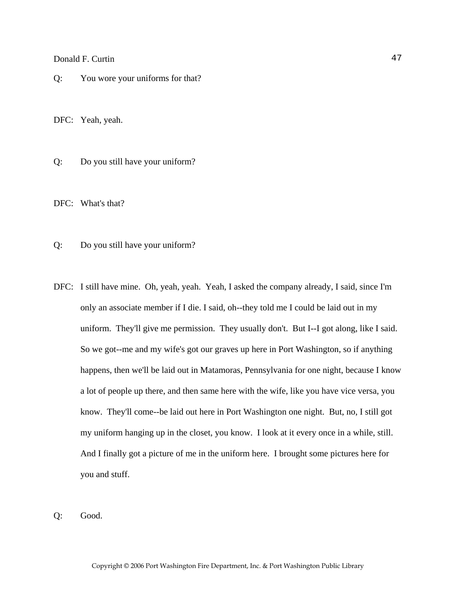Q: You wore your uniforms for that?

DFC: Yeah, yeah.

Q: Do you still have your uniform?

DFC: What's that?

Q: Do you still have your uniform?

- DFC: I still have mine. Oh, yeah, yeah. Yeah, I asked the company already, I said, since I'm only an associate member if I die. I said, oh--they told me I could be laid out in my uniform. They'll give me permission. They usually don't. But I--I got along, like I said. So we got--me and my wife's got our graves up here in Port Washington, so if anything happens, then we'll be laid out in Matamoras, Pennsylvania for one night, because I know a lot of people up there, and then same here with the wife, like you have vice versa, you know. They'll come--be laid out here in Port Washington one night. But, no, I still got my uniform hanging up in the closet, you know. I look at it every once in a while, still. And I finally got a picture of me in the uniform here. I brought some pictures here for you and stuff.
- Q: Good.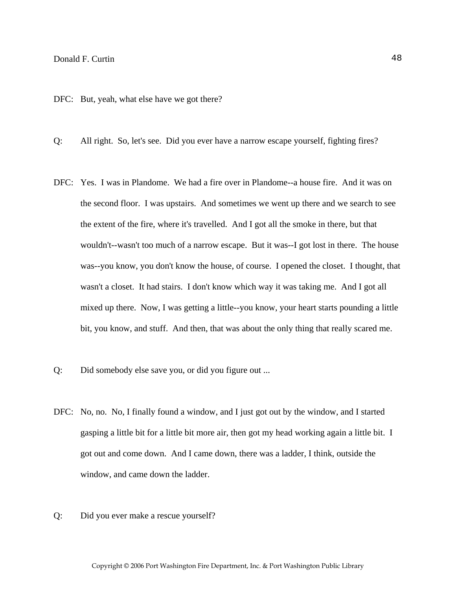DFC: But, yeah, what else have we got there?

- Q: All right. So, let's see. Did you ever have a narrow escape yourself, fighting fires?
- DFC: Yes. I was in Plandome. We had a fire over in Plandome--a house fire. And it was on the second floor. I was upstairs. And sometimes we went up there and we search to see the extent of the fire, where it's travelled. And I got all the smoke in there, but that wouldn't--wasn't too much of a narrow escape. But it was--I got lost in there. The house was--you know, you don't know the house, of course. I opened the closet. I thought, that wasn't a closet. It had stairs. I don't know which way it was taking me. And I got all mixed up there. Now, I was getting a little--you know, your heart starts pounding a little bit, you know, and stuff. And then, that was about the only thing that really scared me.
- Q: Did somebody else save you, or did you figure out ...
- DFC: No, no. No, I finally found a window, and I just got out by the window, and I started gasping a little bit for a little bit more air, then got my head working again a little bit. I got out and come down. And I came down, there was a ladder, I think, outside the window, and came down the ladder.
- Q: Did you ever make a rescue yourself?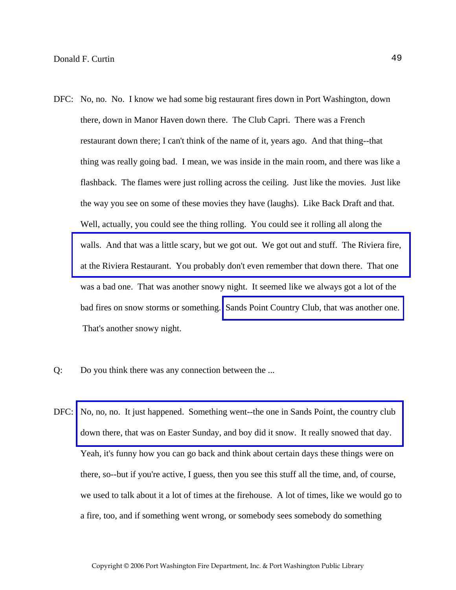- DFC: No, no. No. I know we had some big restaurant fires down in Port Washington, down there, down in Manor Haven down there. The Club Capri. There was a French restaurant down there; I can't think of the name of it, years ago. And that thing--that thing was really going bad. I mean, we was inside in the main room, and there was like a flashback. The flames were just rolling across the ceiling. Just like the movies. Just like the way you see on some of these movies they have (laughs). Like Back Draft and that. Well, actually, you could see the thing rolling. You could see it rolling all along the [walls. And that was a little scary, but we got out. We got out and stuff. The Riviera fire,](http://www.pwfdhistory.com/trans/curtind_trans/fhh_fires003a.jpg)  at the Riviera Restaurant. You probably don't even remember that down there. That one was a bad one. That was another snowy night. It seemed like we always got a lot of the bad fires on snow storms or something. [Sands Point Country Club, that was another one.](http://www.pwfdhistory.com/trans/curtind_trans/pwfd_news048_web.jpg)  That's another snowy night.
- Q: Do you think there was any connection between the ...
- DFC: No, no, no. It just happened. Something went--the one in Sands Point, the country club down there, that was on Easter Sunday, and boy did it snow. It really snowed that day. Yeah, it's funny how you can go back and think about certain days these things were on there, so--but if you're active, I guess, then you see this stuff all the time, and, of course, we used to talk about it a lot of times at the firehouse. A lot of times, like we would go to a fire, too, and if something went wrong, or somebody sees somebody do something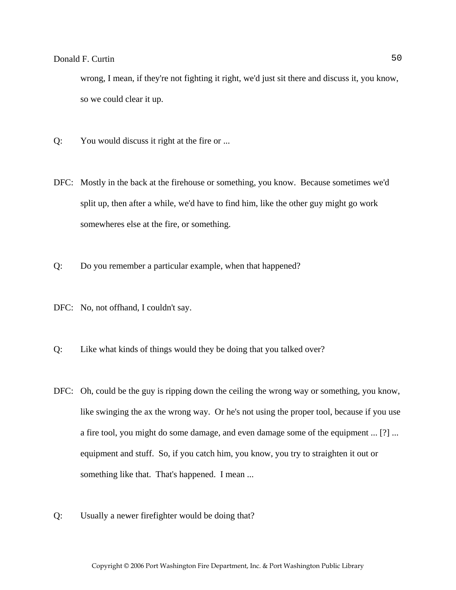wrong, I mean, if they're not fighting it right, we'd just sit there and discuss it, you know, so we could clear it up.

- Q: You would discuss it right at the fire or ...
- DFC: Mostly in the back at the firehouse or something, you know. Because sometimes we'd split up, then after a while, we'd have to find him, like the other guy might go work somewheres else at the fire, or something.
- Q: Do you remember a particular example, when that happened?
- DFC: No, not offhand, I couldn't say.
- Q: Like what kinds of things would they be doing that you talked over?
- DFC: Oh, could be the guy is ripping down the ceiling the wrong way or something, you know, like swinging the ax the wrong way. Or he's not using the proper tool, because if you use a fire tool, you might do some damage, and even damage some of the equipment ... [?] ... equipment and stuff. So, if you catch him, you know, you try to straighten it out or something like that. That's happened. I mean ...
- Q: Usually a newer firefighter would be doing that?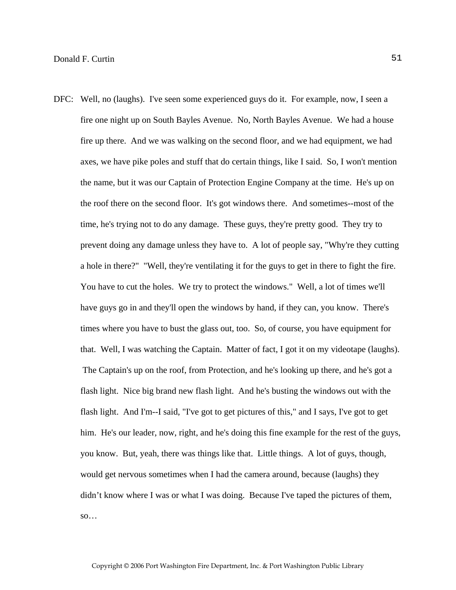DFC: Well, no (laughs). I've seen some experienced guys do it. For example, now, I seen a fire one night up on South Bayles Avenue. No, North Bayles Avenue. We had a house fire up there. And we was walking on the second floor, and we had equipment, we had axes, we have pike poles and stuff that do certain things, like I said. So, I won't mention the name, but it was our Captain of Protection Engine Company at the time. He's up on the roof there on the second floor. It's got windows there. And sometimes--most of the time, he's trying not to do any damage. These guys, they're pretty good. They try to prevent doing any damage unless they have to. A lot of people say, "Why're they cutting a hole in there?" "Well, they're ventilating it for the guys to get in there to fight the fire. You have to cut the holes. We try to protect the windows." Well, a lot of times we'll have guys go in and they'll open the windows by hand, if they can, you know. There's times where you have to bust the glass out, too. So, of course, you have equipment for that. Well, I was watching the Captain. Matter of fact, I got it on my videotape (laughs). The Captain's up on the roof, from Protection, and he's looking up there, and he's got a flash light. Nice big brand new flash light. And he's busting the windows out with the flash light. And I'm--I said, "I've got to get pictures of this," and I says, I've got to get him. He's our leader, now, right, and he's doing this fine example for the rest of the guys, you know. But, yeah, there was things like that. Little things. A lot of guys, though, would get nervous sometimes when I had the camera around, because (laughs) they didn't know where I was or what I was doing. Because I've taped the pictures of them, so…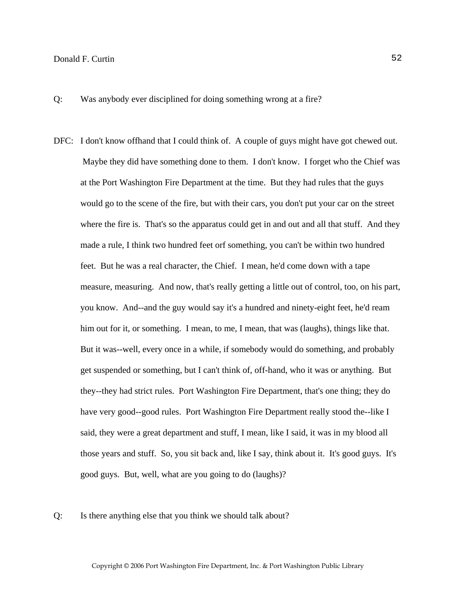Q: Was anybody ever disciplined for doing something wrong at a fire?

- DFC: I don't know of fhand that I could think of. A couple of guys might have got chewed out. Maybe they did have something done to them. I don't know. I forget who the Chief was at the Port Washington Fire Department at the time. But they had rules that the guys would go to the scene of the fire, but with their cars, you don't put your car on the street where the fire is. That's so the apparatus could get in and out and all that stuff. And they made a rule, I think two hundred feet orf something, you can't be within two hundred feet. But he was a real character, the Chief. I mean, he'd come down with a tape measure, measuring. And now, that's really getting a little out of control, too, on his part, you know. And--and the guy would say it's a hundred and ninety-eight feet, he'd ream him out for it, or something. I mean, to me, I mean, that was (laughs), things like that. But it was--well, every once in a while, if somebody would do something, and probably get suspended or something, but I can't think of, off-hand, who it was or anything. But they--they had strict rules. Port Washington Fire Department, that's one thing; they do have very good--good rules. Port Washington Fire Department really stood the--like I said, they were a great department and stuff, I mean, like I said, it was in my blood all those years and stuff. So, you sit back and, like I say, think about it. It's good guys. It's good guys. But, well, what are you going to do (laughs)?
- Q: Is there anything else that you think we should talk about?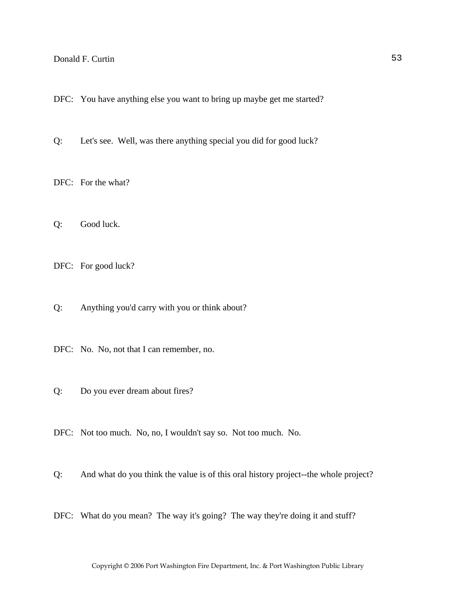DFC: You have anything else you want to bring up maybe get me started?

Q: Let's see. Well, was there anything special you did for good luck?

DFC: For the what?

Q: Good luck.

DFC: For good luck?

Q: Anything you'd carry with you or think about?

DFC: No. No, not that I can remember, no.

Q: Do you ever dream about fires?

DFC: Not too much. No, no, I wouldn't say so. Not too much. No.

Q: And what do you think the value is of this oral history project--the whole project?

DFC: What do you mean? The way it's going? The way they're doing it and stuff?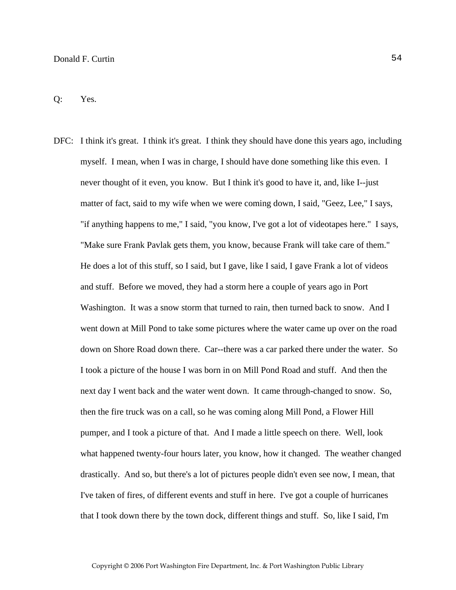DFC: I think it's great. I think it's great. I think they should have done this years ago, including myself. I mean, when I was in charge, I should have done something like this even. I never thought of it even, you know. But I think it's good to have it, and, like I--just matter of fact, said to my wife when we were coming down, I said, "Geez, Lee," I says, "if anything happens to me," I said, "you know, I've got a lot of videotapes here." I says, "Make sure Frank Pavlak gets them, you know, because Frank will take care of them." He does a lot of this stuff, so I said, but I gave, like I said, I gave Frank a lot of videos and stuff. Before we moved, they had a storm here a couple of years ago in Port Washington. It was a snow storm that turned to rain, then turned back to snow. And I went down at Mill Pond to take some pictures where the water came up over on the road down on Shore Road down there. Car--there was a car parked there under the water. So I took a picture of the house I was born in on Mill Pond Road and stuff. And then the next day I went back and the water went down. It came through-changed to snow. So, then the fire truck was on a call, so he was coming along Mill Pond, a Flower Hill pumper, and I took a picture of that. And I made a little speech on there. Well, look what happened twenty-four hours later, you know, how it changed. The weather changed drastically. And so, but there's a lot of pictures people didn't even see now, I mean, that I've taken of fires, of different events and stuff in here. I've got a couple of hurricanes that I took down there by the town dock, different things and stuff. So, like I said, I'm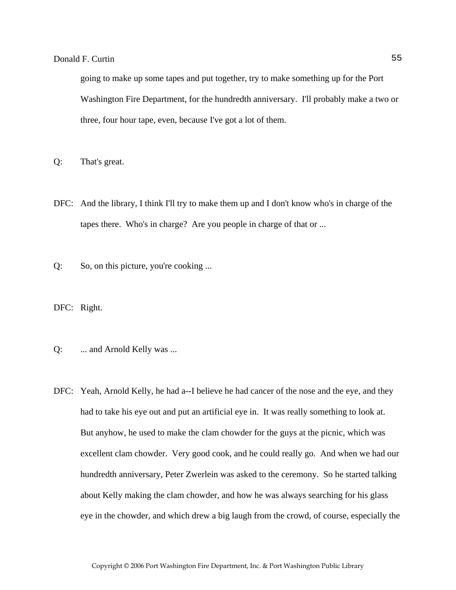going to make up some tapes and put together, try to make something up for the Port Washington Fire Department, for the hundredth anniversary. I'll probably make a two or three, four hour tape, even, because I've got a lot of them.

Q: That's great.

- DFC: And the library, I think I'll try to make them up and I don't know who's in charge of the tapes there. Who's in charge? Are you people in charge of that or ...
- Q: So, on this picture, you're cooking ...

DFC: Right.

- Q: ... and Arnold Kelly was ...
- DFC: Yeah, Arnold Kelly, he had a--I believe he had cancer of the nose and the eye, and they had to take his eye out and put an artificial eye in. It was really something to look at. But anyhow, he used to make the clam chowder for the guys at the picnic, which was excellent clam chowder. Very good cook, and he could really go. And when we had our hundredth anniversary, Peter Zwerlein was asked to the ceremony. So he started talking about Kelly making the clam chowder, and how he was always searching for his glass eye in the chowder, and which drew a big laugh from the crowd, of course, especially the